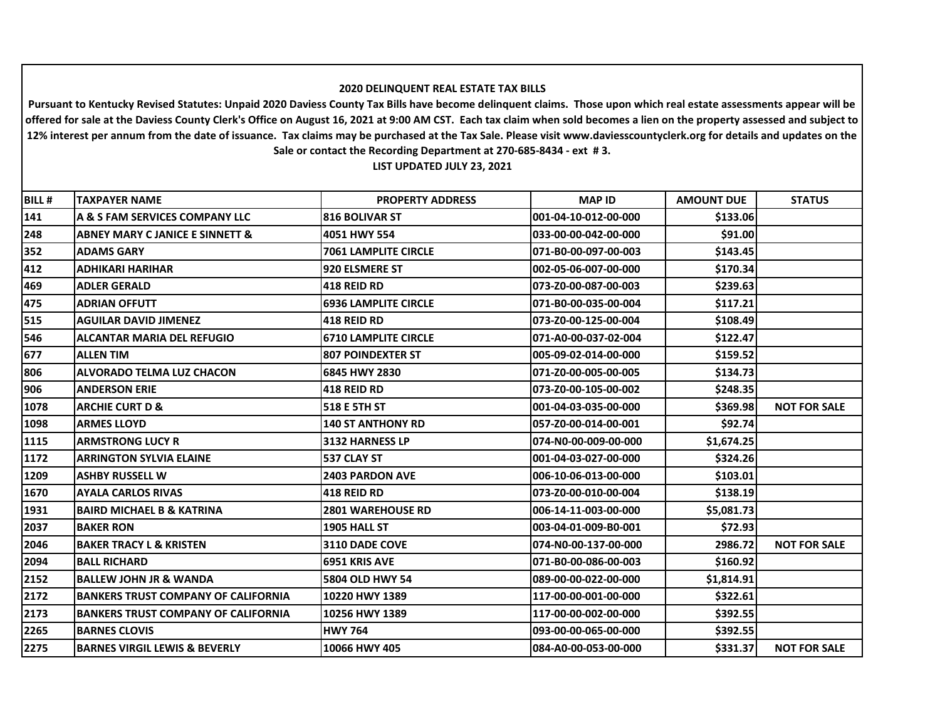## **2020 DELINQUENT REAL ESTATE TAX BILLS**

**Pursuant to Kentucky Revised Statutes: Unpaid 2020 Daviess County Tax Bills have become delinquent claims. Those upon which real estate assessments appear will be offered for sale at the Daviess County Clerk's Office on August 16, 2021 at 9:00 AM CST. Each tax claim when sold becomes a lien on the property assessed and subject to 12% interest per annum from the date of issuance. Tax claims may be purchased at the Tax Sale. Please visit www.daviesscountyclerk.org for details and updates on the Sale or contact the Recording Department at 270-685-8434 - ext # 3.**

**LIST UPDATED JULY 23, 2021**

| <b>BILL#</b> | <b>TAXPAYER NAME</b>                       | <b>PROPERTY ADDRESS</b>     | <b>MAP ID</b>         | <b>AMOUNT DUE</b> | <b>STATUS</b>       |
|--------------|--------------------------------------------|-----------------------------|-----------------------|-------------------|---------------------|
| 141          | A & S FAM SERVICES COMPANY LLC             | <b>816 BOLIVAR ST</b>       | 001-04-10-012-00-000  | \$133.06          |                     |
| 248          | <b>ABNEY MARY C JANICE E SINNETT &amp;</b> | 4051 HWY 554                | 033-00-00-042-00-000  | \$91.00           |                     |
| 352          | <b>ADAMS GARY</b>                          | <b>7061 LAMPLITE CIRCLE</b> | 071-B0-00-097-00-003  | \$143.45          |                     |
| 412          | <b>ADHIKARI HARIHAR</b>                    | 920 ELSMERE ST              | 002-05-06-007-00-000  | \$170.34          |                     |
| 469          | <b>ADLER GERALD</b>                        | <b>418 REID RD</b>          | 073-Z0-00-087-00-003  | \$239.63          |                     |
| 475          | <b>ADRIAN OFFUTT</b>                       | <b>6936 LAMPLITE CIRCLE</b> | 071-B0-00-035-00-004  | \$117.21          |                     |
| 515          | <b>AGUILAR DAVID JIMENEZ</b>               | 1418 REID RD                | 073-Z0-00-125-00-004  | \$108.49          |                     |
| 546          | <b>ALCANTAR MARIA DEL REFUGIO</b>          | <b>6710 LAMPLITE CIRCLE</b> | 071-A0-00-037-02-004  | \$122.47          |                     |
| 677          | <b>ALLEN TIM</b>                           | <b>807 POINDEXTER ST</b>    | 005-09-02-014-00-000  | \$159.52          |                     |
| 806          | <b>ALVORADO TELMA LUZ CHACON</b>           | 6845 HWY 2830               | 071-Z0-00-005-00-005  | \$134.73          |                     |
| 906          | <b>ANDERSON ERIE</b>                       | <b>418 REID RD</b>          | l073-Z0-00-105-00-002 | \$248.35          |                     |
| 1078         | <b>ARCHIE CURT D &amp;</b>                 | 518 E 5TH ST                | 001-04-03-035-00-000  | \$369.98          | <b>NOT FOR SALE</b> |
| 1098         | <b>ARMES LLOYD</b>                         | <b>140 ST ANTHONY RD</b>    | 057-Z0-00-014-00-001  | \$92.74           |                     |
| 1115         | <b>ARMSTRONG LUCY R</b>                    | 3132 HARNESS LP             | 074-N0-00-009-00-000  | \$1,674.25        |                     |
| 1172         | <b>ARRINGTON SYLVIA ELAINE</b>             | 537 CLAY ST                 | 001-04-03-027-00-000  | \$324.26          |                     |
| 1209         | <b>ASHBY RUSSELL W</b>                     | <b>2403 PARDON AVE</b>      | 1006-10-06-013-00-000 | \$103.01          |                     |
| 1670         | <b>AYALA CARLOS RIVAS</b>                  | <b>418 REID RD</b>          | 073-Z0-00-010-00-004  | \$138.19          |                     |
| 1931         | BAIRD MICHAEL B & KATRINA                  | <b>2801 WAREHOUSE RD</b>    | 006-14-11-003-00-000  | \$5,081.73        |                     |
| 2037         | <b>BAKER RON</b>                           | 1905 HALL ST                | 003-04-01-009-B0-001  | \$72.93           |                     |
| 2046         | <b>BAKER TRACY L &amp; KRISTEN</b>         | <b>3110 DADE COVE</b>       | 074-N0-00-137-00-000  | 2986.72           | <b>NOT FOR SALE</b> |
| 2094         | <b>BALL RICHARD</b>                        | 16951 KRIS AVE              | l071-B0-00-086-00-003 | \$160.92          |                     |
| 2152         | <b>BALLEW JOHN JR &amp; WANDA</b>          | 5804 OLD HWY 54             | 089-00-00-022-00-000  | \$1,814.91        |                     |
| 2172         | <b>BANKERS TRUST COMPANY OF CALIFORNIA</b> | 10220 HWY 1389              | 117-00-00-001-00-000  | \$322.61          |                     |
| 2173         | <b>BANKERS TRUST COMPANY OF CALIFORNIA</b> | 10256 HWY 1389              | 117-00-00-002-00-000  | \$392.55          |                     |
| 2265         | <b>BARNES CLOVIS</b>                       | <b>HWY 764</b>              | 093-00-00-065-00-000  | \$392.55          |                     |
| 2275         | <b>BARNES VIRGIL LEWIS &amp; BEVERLY</b>   | 10066 HWY 405               | 084-A0-00-053-00-000  | \$331.37          | <b>NOT FOR SALE</b> |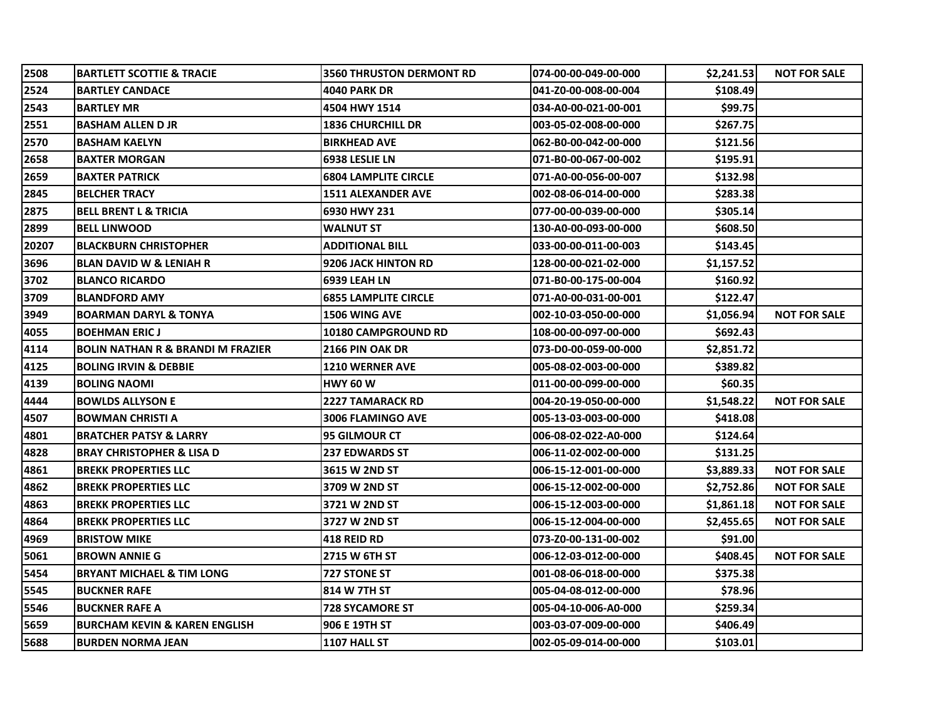| 2508  | <b>BARTLETT SCOTTIE &amp; TRACIE</b>         | <b>3560 THRUSTON DERMONT RD</b> | 074-00-00-049-00-000 | \$2,241.53 | <b>NOT FOR SALE</b> |
|-------|----------------------------------------------|---------------------------------|----------------------|------------|---------------------|
| 2524  | <b>BARTLEY CANDACE</b>                       | <b>4040 PARK DR</b>             | 041-Z0-00-008-00-004 | \$108.49   |                     |
| 2543  | <b>BARTLEY MR</b>                            | 4504 HWY 1514                   | 034-A0-00-021-00-001 | \$99.75    |                     |
| 2551  | <b>BASHAM ALLEN D JR</b>                     | <b>1836 CHURCHILL DR</b>        | 003-05-02-008-00-000 | \$267.75   |                     |
| 2570  | IBASHAM KAELYN                               | <b>BIRKHEAD AVE</b>             | 062-B0-00-042-00-000 | \$121.56   |                     |
| 2658  | <b>IBAXTER MORGAN</b>                        | <b>6938 LESLIE LN</b>           | 071-B0-00-067-00-002 | \$195.91   |                     |
| 2659  | <b>BAXTER PATRICK</b>                        | <b>6804 LAMPLITE CIRCLE</b>     | 071-A0-00-056-00-007 | \$132.98   |                     |
| 2845  | <b>BELCHER TRACY</b>                         | <b>1511 ALEXANDER AVE</b>       | 002-08-06-014-00-000 | \$283.38   |                     |
| 2875  | <b>BELL BRENT L &amp; TRICIA</b>             | 6930 HWY 231                    | 077-00-00-039-00-000 | \$305.14   |                     |
| 2899  | <b>BELL LINWOOD</b>                          | <b>WALNUT ST</b>                | 130-A0-00-093-00-000 | \$608.50   |                     |
| 20207 | <b>BLACKBURN CHRISTOPHER</b>                 | <b>ADDITIONAL BILL</b>          | 033-00-00-011-00-003 | \$143.45   |                     |
| 3696  | <b>BLAN DAVID W &amp; LENIAH R</b>           | 9206 JACK HINTON RD             | 128-00-00-021-02-000 | \$1,157.52 |                     |
| 3702  | <b>BLANCO RICARDO</b>                        | 6939 LEAH LN                    | 071-B0-00-175-00-004 | \$160.92   |                     |
| 3709  | <b>BLANDFORD AMY</b>                         | <b>6855 LAMPLITE CIRCLE</b>     | 071-A0-00-031-00-001 | \$122.47   |                     |
| 3949  | <b>BOARMAN DARYL &amp; TONYA</b>             | 1506 WING AVE                   | 002-10-03-050-00-000 | \$1,056.94 | <b>NOT FOR SALE</b> |
| 4055  | <b>BOEHMAN ERIC J</b>                        | <b>10180 CAMPGROUND RD</b>      | 108-00-00-097-00-000 | \$692.43   |                     |
| 4114  | <b>BOLIN NATHAN R &amp; BRANDI M FRAZIER</b> | 2166 PIN OAK DR                 | 073-D0-00-059-00-000 | \$2,851.72 |                     |
| 4125  | <b>BOLING IRVIN &amp; DEBBIE</b>             | <b>1210 WERNER AVE</b>          | 005-08-02-003-00-000 | \$389.82   |                     |
| 4139  | <b>BOLING NAOMI</b>                          | <b>HWY 60 W</b>                 | 011-00-00-099-00-000 | \$60.35    |                     |
| 4444  | <b>BOWLDS ALLYSON E</b>                      | <b>2227 TAMARACK RD</b>         | 004-20-19-050-00-000 | \$1,548.22 | <b>NOT FOR SALE</b> |
| 4507  | <b>BOWMAN CHRISTI A</b>                      | <b>3006 FLAMINGO AVE</b>        | 005-13-03-003-00-000 | \$418.08   |                     |
| 4801  | BRATCHER PATSY & LARRY                       | <b>95 GILMOUR CT</b>            | 006-08-02-022-A0-000 | \$124.64   |                     |
| 4828  | <b>BRAY CHRISTOPHER &amp; LISA D</b>         | <b>237 EDWARDS ST</b>           | 006-11-02-002-00-000 | \$131.25   |                     |
| 4861  | <b>BREKK PROPERTIES LLC</b>                  | 3615 W 2ND ST                   | 006-15-12-001-00-000 | \$3,889.33 | <b>NOT FOR SALE</b> |
| 4862  | <b>BREKK PROPERTIES LLC</b>                  | 3709 W 2ND ST                   | 006-15-12-002-00-000 | \$2,752.86 | <b>NOT FOR SALE</b> |
| 4863  | <b>BREKK PROPERTIES LLC</b>                  | 3721 W 2ND ST                   | 006-15-12-003-00-000 | \$1,861.18 | <b>NOT FOR SALE</b> |
| 4864  | <b>BREKK PROPERTIES LLC</b>                  | 3727 W 2ND ST                   | 006-15-12-004-00-000 | \$2,455.65 | <b>NOT FOR SALE</b> |
| 4969  | <b>BRISTOW MIKE</b>                          | <b>418 REID RD</b>              | 073-Z0-00-131-00-002 | \$91.00    |                     |
| 5061  | <b>BROWN ANNIE G</b>                         | 2715 W 6TH ST                   | 006-12-03-012-00-000 | \$408.45   | <b>NOT FOR SALE</b> |
| 5454  | <b>BRYANT MICHAEL &amp; TIM LONG</b>         | <b>727 STONE ST</b>             | 001-08-06-018-00-000 | \$375.38   |                     |
| 5545  | <b>BUCKNER RAFE</b>                          | 1814 W 7TH ST                   | 005-04-08-012-00-000 | \$78.96    |                     |
| 5546  | <b>IBUCKNER RAFE A</b>                       | 728 SYCAMORE ST                 | 005-04-10-006-A0-000 | \$259.34   |                     |
| 5659  | <b>BURCHAM KEVIN &amp; KAREN ENGLISH</b>     | 906 E 19TH ST                   | 003-03-07-009-00-000 | \$406.49   |                     |
| 5688  | <b>BURDEN NORMA JEAN</b>                     | 1107 HALL ST                    | 002-05-09-014-00-000 | \$103.01   |                     |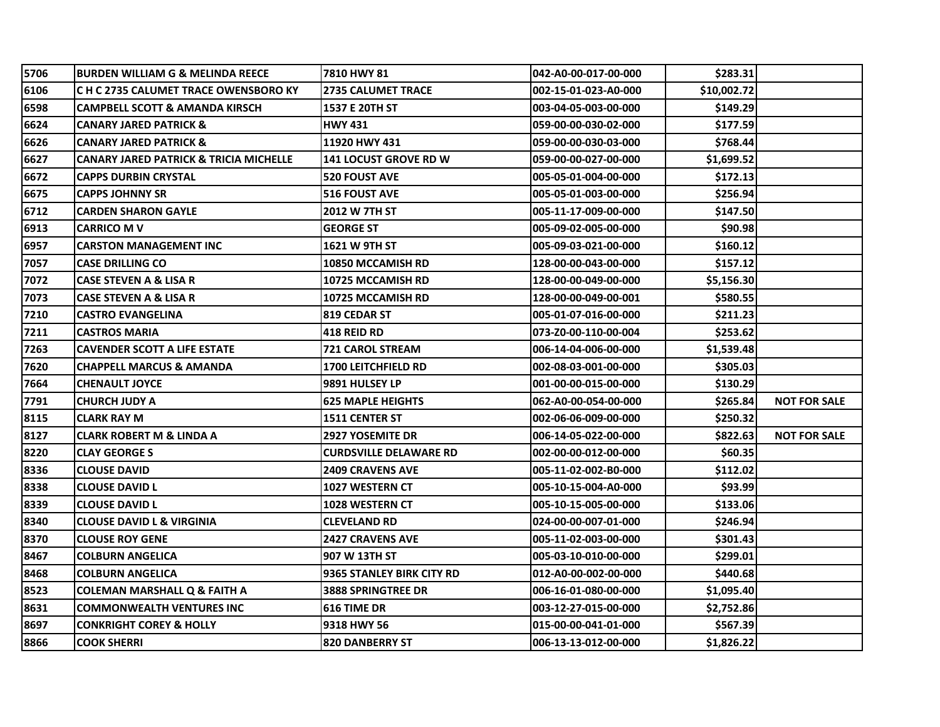| 5706 | <b>BURDEN WILLIAM G &amp; MELINDA REECE</b> | <b>7810 HWY 81</b>            | 042-A0-00-017-00-000 | \$283.31    |                     |
|------|---------------------------------------------|-------------------------------|----------------------|-------------|---------------------|
| 6106 | C H C 2735 CALUMET TRACE OWENSBORO KY       | <b>2735 CALUMET TRACE</b>     | 002-15-01-023-A0-000 | \$10,002.72 |                     |
| 6598 | <b>CAMPBELL SCOTT &amp; AMANDA KIRSCH</b>   | 1537 E 20TH ST                | 003-04-05-003-00-000 | \$149.29    |                     |
| 6624 | <b>CANARY JARED PATRICK &amp;</b>           | <b>HWY 431</b>                | 059-00-00-030-02-000 | \$177.59    |                     |
| 6626 | <b>CANARY JARED PATRICK &amp;</b>           | 11920 HWY 431                 | 059-00-00-030-03-000 | \$768.44    |                     |
| 6627 | CANARY JARED PATRICK & TRICIA MICHELLE      | <b>141 LOCUST GROVE RD W</b>  | 059-00-00-027-00-000 | \$1,699.52  |                     |
| 6672 | <b>CAPPS DURBIN CRYSTAL</b>                 | <b>520 FOUST AVE</b>          | 005-05-01-004-00-000 | \$172.13    |                     |
| 6675 | <b>CAPPS JOHNNY SR</b>                      | <b>516 FOUST AVE</b>          | 005-05-01-003-00-000 | \$256.94    |                     |
| 6712 | <b>CARDEN SHARON GAYLE</b>                  | 2012 W 7TH ST                 | 005-11-17-009-00-000 | \$147.50    |                     |
| 6913 | <b>CARRICO M V</b>                          | <b>GEORGE ST</b>              | 005-09-02-005-00-000 | \$90.98     |                     |
| 6957 | <b>CARSTON MANAGEMENT INC</b>               | 1621 W 9TH ST                 | 005-09-03-021-00-000 | \$160.12    |                     |
| 7057 | <b>CASE DRILLING CO</b>                     | 10850 MCCAMISH RD             | 128-00-00-043-00-000 | \$157.12    |                     |
| 7072 | CASE STEVEN A & LISA R                      | 10725 MCCAMISH RD             | 128-00-00-049-00-000 | \$5,156.30  |                     |
| 7073 | CASE STEVEN A & LISA R                      | 10725 MCCAMISH RD             | 128-00-00-049-00-001 | \$580.55    |                     |
| 7210 | <b>CASTRO EVANGELINA</b>                    | <b>819 CEDAR ST</b>           | 005-01-07-016-00-000 | \$211.23    |                     |
| 7211 | <b>CASTROS MARIA</b>                        | 418 REID RD                   | 073-Z0-00-110-00-004 | \$253.62    |                     |
| 7263 | <b>CAVENDER SCOTT A LIFE ESTATE</b>         | <b>721 CAROL STREAM</b>       | 006-14-04-006-00-000 | \$1,539.48  |                     |
| 7620 | <b>CHAPPELL MARCUS &amp; AMANDA</b>         | <b>1700 LEITCHFIELD RD</b>    | 002-08-03-001-00-000 | \$305.03    |                     |
| 7664 | <b>CHENAULT JOYCE</b>                       | 9891 HULSEY LP                | 001-00-00-015-00-000 | \$130.29    |                     |
| 7791 | <b>CHURCH JUDY A</b>                        | <b>625 MAPLE HEIGHTS</b>      | 062-A0-00-054-00-000 | \$265.84    | <b>NOT FOR SALE</b> |
| 8115 | CLARK RAY M                                 | <b>1511 CENTER ST</b>         | 002-06-06-009-00-000 | \$250.32    |                     |
| 8127 | <b>CLARK ROBERT M &amp; LINDA A</b>         | <b>2927 YOSEMITE DR</b>       | 006-14-05-022-00-000 | \$822.63    | <b>NOT FOR SALE</b> |
| 8220 | <b>CLAY GEORGE S</b>                        | <b>CURDSVILLE DELAWARE RD</b> | 002-00-00-012-00-000 | \$60.35     |                     |
| 8336 | <b>CLOUSE DAVID</b>                         | <b>2409 CRAVENS AVE</b>       | 005-11-02-002-B0-000 | \$112.02    |                     |
| 8338 | <b>CLOUSE DAVID L</b>                       | <b>1027 WESTERN CT</b>        | 005-10-15-004-A0-000 | \$93.99     |                     |
| 8339 | <b>CLOUSE DAVID L</b>                       | <b>1028 WESTERN CT</b>        | 005-10-15-005-00-000 | \$133.06    |                     |
| 8340 | <b>CLOUSE DAVID L &amp; VIRGINIA</b>        | <b>CLEVELAND RD</b>           | 024-00-00-007-01-000 | \$246.94    |                     |
| 8370 | <b>CLOUSE ROY GENE</b>                      | <b>2427 CRAVENS AVE</b>       | 005-11-02-003-00-000 | \$301.43    |                     |
| 8467 | <b>COLBURN ANGELICA</b>                     | 907 W 13TH ST                 | 005-03-10-010-00-000 | \$299.01    |                     |
| 8468 | <b>COLBURN ANGELICA</b>                     | 9365 STANLEY BIRK CITY RD     | 012-A0-00-002-00-000 | \$440.68    |                     |
| 8523 | COLEMAN MARSHALL Q & FAITH A                | <b>3888 SPRINGTREE DR</b>     | 006-16-01-080-00-000 | \$1,095.40  |                     |
| 8631 | <b>COMMONWEALTH VENTURES INC</b>            | 616 TIME DR                   | 003-12-27-015-00-000 | \$2,752.86  |                     |
| 8697 | <b>CONKRIGHT COREY &amp; HOLLY</b>          | 9318 HWY 56                   | 015-00-00-041-01-000 | \$567.39    |                     |
| 8866 | <b>COOK SHERRI</b>                          | <b>820 DANBERRY ST</b>        | 006-13-13-012-00-000 | \$1,826.22  |                     |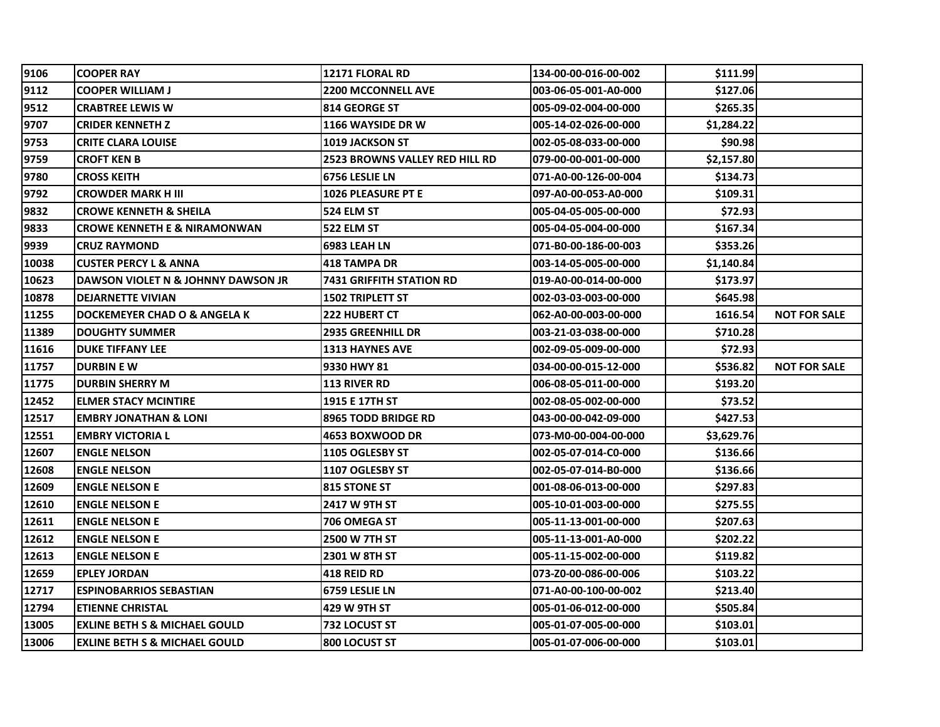| 9106  | <b>COOPER RAY</b>                        | <b>12171 FLORAL RD</b>          | 134-00-00-016-00-002 | \$111.99   |                     |
|-------|------------------------------------------|---------------------------------|----------------------|------------|---------------------|
| 9112  | <b>COOPER WILLIAM J</b>                  | <b>2200 MCCONNELL AVE</b>       | 003-06-05-001-A0-000 | \$127.06   |                     |
| 9512  | <b>CRABTREE LEWIS W</b>                  | <b>814 GEORGE ST</b>            | 005-09-02-004-00-000 | \$265.35   |                     |
| 9707  | <b>CRIDER KENNETH Z</b>                  | 1166 WAYSIDE DR W               | 005-14-02-026-00-000 | \$1,284.22 |                     |
| 9753  | <b>CRITE CLARA LOUISE</b>                | <b>1019 JACKSON ST</b>          | 002-05-08-033-00-000 | \$90.98    |                     |
| 9759  | CROFT KEN B                              | 2523 BROWNS VALLEY RED HILL RD  | 079-00-00-001-00-000 | \$2,157.80 |                     |
| 9780  | CROSS KEITH                              | 6756 LESLIE LN                  | 071-A0-00-126-00-004 | \$134.73   |                     |
| 9792  | <b>CROWDER MARK H III</b>                | <b>1026 PLEASURE PT E</b>       | 097-A0-00-053-A0-000 | \$109.31   |                     |
| 9832  | <b>CROWE KENNETH &amp; SHEILA</b>        | 524 ELM ST                      | 005-04-05-005-00-000 | \$72.93    |                     |
| 9833  | CROWE KENNETH E & NIRAMONWAN             | 522 ELM ST                      | 005-04-05-004-00-000 | \$167.34   |                     |
| 9939  | <b>CRUZ RAYMOND</b>                      | 6983 LEAH LN                    | 071-B0-00-186-00-003 | \$353.26   |                     |
| 10038 | CUSTER PERCY L & ANNA                    | <b>418 TAMPA DR</b>             | 003-14-05-005-00-000 | \$1,140.84 |                     |
| 10623 | DAWSON VIOLET N & JOHNNY DAWSON JR       | <b>7431 GRIFFITH STATION RD</b> | 019-A0-00-014-00-000 | \$173.97   |                     |
| 10878 | <b>DEJARNETTE VIVIAN</b>                 | <b>1502 TRIPLETT ST</b>         | 002-03-03-003-00-000 | \$645.98   |                     |
| 11255 | DOCKEMEYER CHAD O & ANGELA K             | <b>222 HUBERT CT</b>            | 062-A0-00-003-00-000 | 1616.54    | <b>NOT FOR SALE</b> |
| 11389 | <b>DOUGHTY SUMMER</b>                    | 2935 GREENHILL DR               | 003-21-03-038-00-000 | \$710.28   |                     |
| 11616 | <b>DUKE TIFFANY LEE</b>                  | <b>1313 HAYNES AVE</b>          | 002-09-05-009-00-000 | \$72.93    |                     |
| 11757 | <b>DURBIN EW</b>                         | 9330 HWY 81                     | 034-00-00-015-12-000 | \$536.82   | <b>NOT FOR SALE</b> |
| 11775 | <b>DURBIN SHERRY M</b>                   | <b>113 RIVER RD</b>             | 006-08-05-011-00-000 | \$193.20   |                     |
| 12452 | <b>ELMER STACY MCINTIRE</b>              | 1915 E 17TH ST                  | 002-08-05-002-00-000 | \$73.52    |                     |
| 12517 | EMBRY JONATHAN & LONI                    | <b>8965 TODD BRIDGE RD</b>      | 043-00-00-042-09-000 | \$427.53   |                     |
| 12551 | <b>EMBRY VICTORIA L</b>                  | <b>4653 BOXWOOD DR</b>          | 073-M0-00-004-00-000 | \$3,629.76 |                     |
| 12607 | <b>ENGLE NELSON</b>                      | 1105 OGLESBY ST                 | 002-05-07-014-C0-000 | \$136.66   |                     |
| 12608 | <b>ENGLE NELSON</b>                      | 1107 OGLESBY ST                 | 002-05-07-014-B0-000 | \$136.66   |                     |
| 12609 | <b>ENGLE NELSON E</b>                    | <b>815 STONE ST</b>             | 001-08-06-013-00-000 | \$297.83   |                     |
| 12610 | ENGLE NELSON E                           | 2417 W 9TH ST                   | 005-10-01-003-00-000 | \$275.55   |                     |
| 12611 | <b>ENGLE NELSON E</b>                    | 706 OMEGA ST                    | 005-11-13-001-00-000 | \$207.63   |                     |
| 12612 | <b>ENGLE NELSON E</b>                    | <b>2500 W 7TH ST</b>            | 005-11-13-001-A0-000 | \$202.22   |                     |
| 12613 | <b>ENGLE NELSON E</b>                    | <b>2301 W 8TH ST</b>            | 005-11-15-002-00-000 | \$119.82   |                     |
| 12659 | <b>EPLEY JORDAN</b>                      | <b>418 REID RD</b>              | 073-Z0-00-086-00-006 | \$103.22   |                     |
| 12717 | <b>ESPINOBARRIOS SEBASTIAN</b>           | 6759 LESLIE LN                  | 071-A0-00-100-00-002 | \$213.40   |                     |
| 12794 | <b>ETIENNE CHRISTAL</b>                  | 429 W 9TH ST                    | 005-01-06-012-00-000 | \$505.84   |                     |
| 13005 | <b>EXLINE BETH S &amp; MICHAEL GOULD</b> | 732 LOCUST ST                   | 005-01-07-005-00-000 | \$103.01   |                     |
| 13006 | <b>EXLINE BETH S &amp; MICHAEL GOULD</b> | 800 LOCUST ST                   | 005-01-07-006-00-000 | \$103.01   |                     |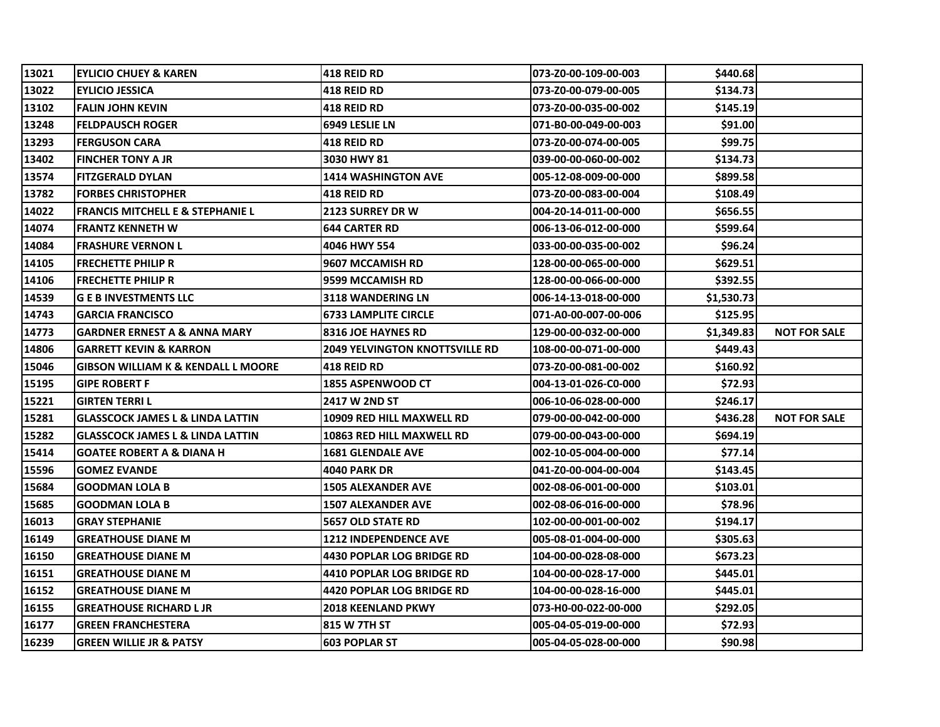| 13021 | IEYLICIO CHUEY & KAREN                        | 418 REID RD                           | 073-Z0-00-109-00-003 | \$440.68   |                     |
|-------|-----------------------------------------------|---------------------------------------|----------------------|------------|---------------------|
| 13022 | <b>EYLICIO JESSICA</b>                        | 418 REID RD                           | 073-Z0-00-079-00-005 | \$134.73   |                     |
| 13102 | <b>FALIN JOHN KEVIN</b>                       | <b>418 REID RD</b>                    | 073-Z0-00-035-00-002 | \$145.19   |                     |
| 13248 | <b>FELDPAUSCH ROGER</b>                       | 6949 LESLIE LN                        | 071-B0-00-049-00-003 | \$91.00    |                     |
| 13293 | <b>FERGUSON CARA</b>                          | <b>418 REID RD</b>                    | 073-Z0-00-074-00-005 | \$99.75    |                     |
| 13402 | <b>FINCHER TONY A JR</b>                      | 3030 HWY 81                           | 039-00-00-060-00-002 | \$134.73   |                     |
| 13574 | <b>FITZGERALD DYLAN</b>                       | <b>1414 WASHINGTON AVE</b>            | 005-12-08-009-00-000 | \$899.58   |                     |
| 13782 | <b>FORBES CHRISTOPHER</b>                     | <b>418 REID RD</b>                    | 073-Z0-00-083-00-004 | \$108.49   |                     |
| 14022 | <b>FRANCIS MITCHELL E &amp; STEPHANIE L</b>   | <b>2123 SURREY DR W</b>               | 004-20-14-011-00-000 | \$656.55   |                     |
| 14074 | <b>FRANTZ KENNETH W</b>                       | <b>644 CARTER RD</b>                  | 006-13-06-012-00-000 | \$599.64   |                     |
| 14084 | <b>FRASHURE VERNON L</b>                      | 4046 HWY 554                          | 033-00-00-035-00-002 | \$96.24    |                     |
| 14105 | <b>FRECHETTE PHILIP R</b>                     | 9607 MCCAMISH RD                      | 128-00-00-065-00-000 | \$629.51   |                     |
| 14106 | <b>FRECHETTE PHILIP R</b>                     | 9599 MCCAMISH RD                      | 128-00-00-066-00-000 | \$392.55   |                     |
| 14539 | <b>G E B INVESTMENTS LLC</b>                  | <b>3118 WANDERING LN</b>              | 006-14-13-018-00-000 | \$1,530.73 |                     |
| 14743 | <b>GARCIA FRANCISCO</b>                       | <b>6733 LAMPLITE CIRCLE</b>           | 071-A0-00-007-00-006 | \$125.95   |                     |
| 14773 | GARDNER ERNEST A & ANNA MARY                  | <b>8316 JOE HAYNES RD</b>             | 129-00-00-032-00-000 | \$1,349.83 | <b>NOT FOR SALE</b> |
| 14806 | <b>GARRETT KEVIN &amp; KARRON</b>             | <b>2049 YELVINGTON KNOTTSVILLE RD</b> | 108-00-00-071-00-000 | \$449.43   |                     |
| 15046 | <b>GIBSON WILLIAM K &amp; KENDALL L MOORE</b> | <b>418 REID RD</b>                    | 073-Z0-00-081-00-002 | \$160.92   |                     |
| 15195 | <b>GIPE ROBERT F</b>                          | <b>1855 ASPENWOOD CT</b>              | 004-13-01-026-C0-000 | \$72.93    |                     |
| 15221 | <b>GIRTEN TERRI L</b>                         | <b>2417 W 2ND ST</b>                  | 006-10-06-028-00-000 | \$246.17   |                     |
| 15281 | <b>GLASSCOCK JAMES L &amp; LINDA LATTIN</b>   | <b>10909 RED HILL MAXWELL RD</b>      | 079-00-00-042-00-000 | \$436.28   | <b>NOT FOR SALE</b> |
| 15282 | <b>GLASSCOCK JAMES L &amp; LINDA LATTIN</b>   | 10863 RED HILL MAXWELL RD             | 079-00-00-043-00-000 | \$694.19   |                     |
| 15414 | <b>GOATEE ROBERT A &amp; DIANA H</b>          | <b>1681 GLENDALE AVE</b>              | 002-10-05-004-00-000 | \$77.14    |                     |
| 15596 | <b>GOMEZ EVANDE</b>                           | <b>4040 PARK DR</b>                   | 041-Z0-00-004-00-004 | \$143.45   |                     |
| 15684 | <b>GOODMAN LOLA B</b>                         | <b>1505 ALEXANDER AVE</b>             | 002-08-06-001-00-000 | \$103.01   |                     |
| 15685 | <b>GOODMAN LOLA B</b>                         | <b>1507 ALEXANDER AVE</b>             | 002-08-06-016-00-000 | \$78.96    |                     |
| 16013 | <b>GRAY STEPHANIE</b>                         | <b>5657 OLD STATE RD</b>              | 102-00-00-001-00-002 | \$194.17   |                     |
| 16149 | <b>GREATHOUSE DIANE M</b>                     | <b>1212 INDEPENDENCE AVE</b>          | 005-08-01-004-00-000 | \$305.63   |                     |
| 16150 | <b>GREATHOUSE DIANE M</b>                     | <b>4430 POPLAR LOG BRIDGE RD</b>      | 104-00-00-028-08-000 | \$673.23   |                     |
| 16151 | <b>GREATHOUSE DIANE M</b>                     | <b>4410 POPLAR LOG BRIDGE RD</b>      | 104-00-00-028-17-000 | \$445.01   |                     |
| 16152 | <b>GREATHOUSE DIANE M</b>                     | 4420 POPLAR LOG BRIDGE RD             | 104-00-00-028-16-000 | \$445.01   |                     |
| 16155 | <b>GREATHOUSE RICHARD L JR</b>                | <b>2018 KEENLAND PKWY</b>             | 073-H0-00-022-00-000 | \$292.05   |                     |
| 16177 | <b>GREEN FRANCHESTERA</b>                     | 815 W 7TH ST                          | 005-04-05-019-00-000 | \$72.93    |                     |
| 16239 | <b>GREEN WILLIE JR &amp; PATSY</b>            | <b>603 POPLAR ST</b>                  | 005-04-05-028-00-000 | \$90.98    |                     |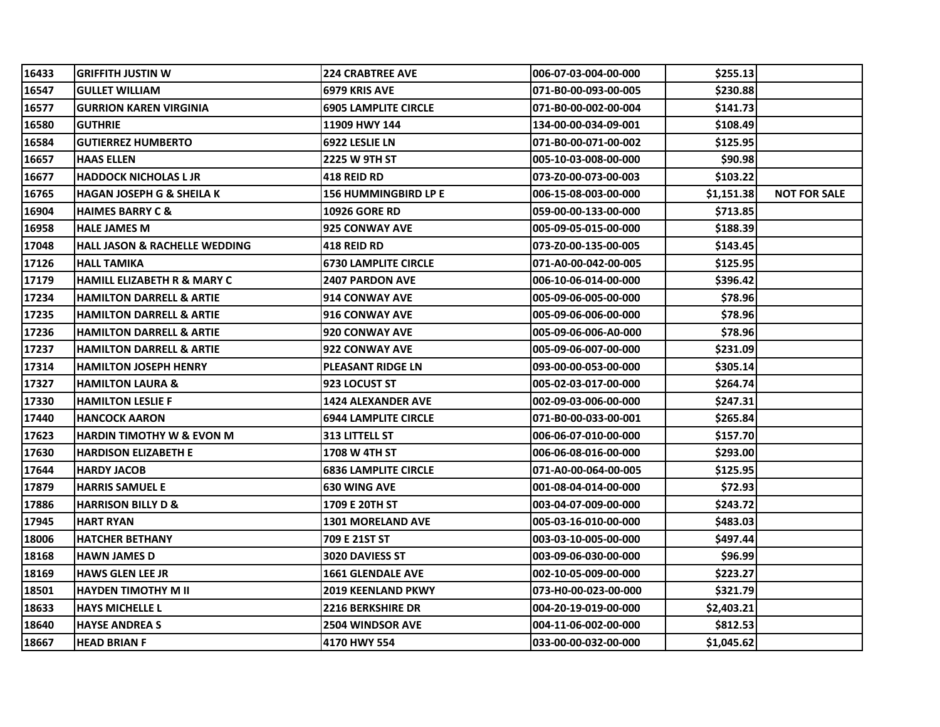| 16433 | <b>GRIFFITH JUSTIN W</b>               | <b>224 CRABTREE AVE</b>     | 006-07-03-004-00-000  | \$255.13   |                     |
|-------|----------------------------------------|-----------------------------|-----------------------|------------|---------------------|
| 16547 | <b>GULLET WILLIAM</b>                  | 6979 KRIS AVE               | 071-B0-00-093-00-005  | \$230.88   |                     |
| 16577 | <b>GURRION KAREN VIRGINIA</b>          | <b>6905 LAMPLITE CIRCLE</b> | 071-B0-00-002-00-004  | \$141.73   |                     |
| 16580 | <b>GUTHRIE</b>                         | 11909 HWY 144               | 134-00-00-034-09-001  | \$108.49   |                     |
| 16584 | <b>GUTIERREZ HUMBERTO</b>              | 6922 LESLIE LN              | 071-B0-00-071-00-002  | \$125.95   |                     |
| 16657 | <b>HAAS ELLEN</b>                      | 2225 W 9TH ST               | 005-10-03-008-00-000  | \$90.98    |                     |
| 16677 | <b>HADDOCK NICHOLAS L JR</b>           | <b>418 REID RD</b>          | l073-Z0-00-073-00-003 | \$103.22   |                     |
| 16765 | <b>HAGAN JOSEPH G &amp; SHEILA K</b>   | <b>156 HUMMINGBIRD LP E</b> | 006-15-08-003-00-000  | \$1,151.38 | <b>NOT FOR SALE</b> |
| 16904 | <b>HAIMES BARRY C &amp;</b>            | <b>10926 GORE RD</b>        | 059-00-00-133-00-000  | \$713.85   |                     |
| 16958 | <b>HALE JAMES M</b>                    | 925 CONWAY AVE              | 005-09-05-015-00-000  | \$188.39   |                     |
| 17048 | HALL JASON & RACHELLE WEDDING          | 418 REID RD                 | l073-Z0-00-135-00-005 | \$143.45   |                     |
| 17126 | <b>HALL TAMIKA</b>                     | <b>6730 LAMPLITE CIRCLE</b> | 071-A0-00-042-00-005  | \$125.95   |                     |
| 17179 | <b>HAMILL ELIZABETH R &amp; MARY C</b> | <b>2407 PARDON AVE</b>      | 006-10-06-014-00-000  | \$396.42   |                     |
| 17234 | <b>HAMILTON DARRELL &amp; ARTIE</b>    | 914 CONWAY AVE              | 005-09-06-005-00-000  | \$78.96    |                     |
| 17235 | <b>HAMILTON DARRELL &amp; ARTIE</b>    | <b>916 CONWAY AVE</b>       | 005-09-06-006-00-000  | \$78.96    |                     |
| 17236 | <b>HAMILTON DARRELL &amp; ARTIE</b>    | 920 CONWAY AVE              | 005-09-06-006-A0-000  | \$78.96    |                     |
| 17237 | <b>HAMILTON DARRELL &amp; ARTIE</b>    | 922 CONWAY AVE              | 005-09-06-007-00-000  | \$231.09   |                     |
| 17314 | <b>HAMILTON JOSEPH HENRY</b>           | <b>PLEASANT RIDGE LN</b>    | 093-00-00-053-00-000  | \$305.14   |                     |
| 17327 | <b>HAMILTON LAURA &amp;</b>            | 923 LOCUST ST               | 005-02-03-017-00-000  | \$264.74   |                     |
| 17330 | <b>HAMILTON LESLIE F</b>               | <b>1424 ALEXANDER AVE</b>   | 002-09-03-006-00-000  | \$247.31   |                     |
| 17440 | <b>HANCOCK AARON</b>                   | <b>6944 LAMPLITE CIRCLE</b> | 071-B0-00-033-00-001  | \$265.84   |                     |
| 17623 | <b>HARDIN TIMOTHY W &amp; EVON M</b>   | <b>313 LITTELL ST</b>       | 006-06-07-010-00-000  | \$157.70   |                     |
| 17630 | <b>HARDISON ELIZABETH E</b>            | 1708 W 4TH ST               | 006-06-08-016-00-000  | \$293.00   |                     |
| 17644 | <b>HARDY JACOB</b>                     | <b>6836 LAMPLITE CIRCLE</b> | 071-A0-00-064-00-005  | \$125.95   |                     |
| 17879 | <b>HARRIS SAMUEL E</b>                 | <b>630 WING AVE</b>         | 001-08-04-014-00-000  | \$72.93    |                     |
| 17886 | <b>HARRISON BILLY D &amp;</b>          | 1709 E 20TH ST              | 003-04-07-009-00-000  | \$243.72   |                     |
| 17945 | <b>HART RYAN</b>                       | <b>1301 MORELAND AVE</b>    | 005-03-16-010-00-000  | \$483.03   |                     |
| 18006 | <b>HATCHER BETHANY</b>                 | 709 E 21ST ST               | 003-03-10-005-00-000  | \$497.44   |                     |
| 18168 | <b>HAWN JAMES D</b>                    | <b>3020 DAVIESS ST</b>      | 003-09-06-030-00-000  | \$96.99    |                     |
| 18169 | <b>HAWS GLEN LEE JR</b>                | <b>1661 GLENDALE AVE</b>    | 002-10-05-009-00-000  | \$223.27   |                     |
| 18501 | <b>HAYDEN TIMOTHY M II</b>             | <b>2019 KEENLAND PKWY</b>   | 073-H0-00-023-00-000  | \$321.79   |                     |
| 18633 | <b>HAYS MICHELLE L</b>                 | <b>2216 BERKSHIRE DR</b>    | 004-20-19-019-00-000  | \$2,403.21 |                     |
| 18640 | <b>HAYSE ANDREA S</b>                  | <b>2504 WINDSOR AVE</b>     | 004-11-06-002-00-000  | \$812.53   |                     |
| 18667 | <b>HEAD BRIAN F</b>                    | 4170 HWY 554                | 033-00-00-032-00-000  | \$1,045.62 |                     |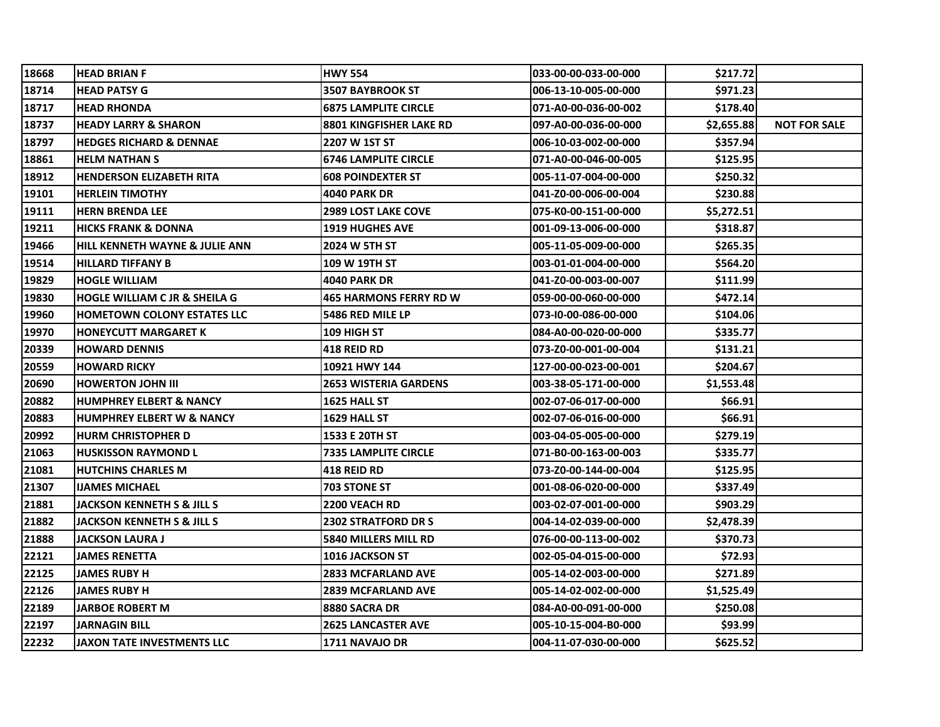| 18668 | <b>HEAD BRIAN F</b>                      | <b>HWY 554</b>                 | 033-00-00-033-00-000 | \$217.72   |                     |
|-------|------------------------------------------|--------------------------------|----------------------|------------|---------------------|
| 18714 | HEAD PATSY G                             | <b>3507 BAYBROOK ST</b>        | 006-13-10-005-00-000 | \$971.23   |                     |
| 18717 | <b>HEAD RHONDA</b>                       | <b>6875 LAMPLITE CIRCLE</b>    | 071-A0-00-036-00-002 | \$178.40   |                     |
| 18737 | <b>HEADY LARRY &amp; SHARON</b>          | <b>8801 KINGFISHER LAKE RD</b> | 097-A0-00-036-00-000 | \$2,655.88 | <b>NOT FOR SALE</b> |
| 18797 | <b>HEDGES RICHARD &amp; DENNAE</b>       | 2207 W 1ST ST                  | 006-10-03-002-00-000 | \$357.94   |                     |
| 18861 | HELM NATHAN S                            | <b>6746 LAMPLITE CIRCLE</b>    | 071-A0-00-046-00-005 | \$125.95   |                     |
| 18912 | <b>HENDERSON ELIZABETH RITA</b>          | <b>608 POINDEXTER ST</b>       | 005-11-07-004-00-000 | \$250.32   |                     |
| 19101 | <b>HERLEIN TIMOTHY</b>                   | <b>4040 PARK DR</b>            | 041-Z0-00-006-00-004 | \$230.88   |                     |
| 19111 | <b>HERN BRENDA LEE</b>                   | <b>2989 LOST LAKE COVE</b>     | 075-K0-00-151-00-000 | \$5,272.51 |                     |
| 19211 | <b>HICKS FRANK &amp; DONNA</b>           | <b>1919 HUGHES AVE</b>         | 001-09-13-006-00-000 | \$318.87   |                     |
| 19466 | HILL KENNETH WAYNE & JULIE ANN           | 2024 W 5TH ST                  | 005-11-05-009-00-000 | \$265.35   |                     |
| 19514 | <b>HILLARD TIFFANY B</b>                 | 109 W 19TH ST                  | 003-01-01-004-00-000 | \$564.20   |                     |
| 19829 | <b>HOGLE WILLIAM</b>                     | <b>4040 PARK DR</b>            | 041-Z0-00-003-00-007 | \$111.99   |                     |
| 19830 | <b>HOGLE WILLIAM C JR &amp; SHEILA G</b> | <b>465 HARMONS FERRY RD W</b>  | 059-00-00-060-00-000 | \$472.14   |                     |
| 19960 | <b>HOMETOWN COLONY ESTATES LLC</b>       | 5486 RED MILE LP               | 073-10-00-086-00-000 | \$104.06   |                     |
| 19970 | HONEYCUTT MARGARET K                     | 109 HIGH ST                    | 084-A0-00-020-00-000 | \$335.77   |                     |
| 20339 | <b>HOWARD DENNIS</b>                     | 418 REID RD                    | 073-Z0-00-001-00-004 | \$131.21   |                     |
| 20559 | <b>HOWARD RICKY</b>                      | 10921 HWY 144                  | 127-00-00-023-00-001 | \$204.67   |                     |
| 20690 | <b>HOWERTON JOHN III</b>                 | <b>2653 WISTERIA GARDENS</b>   | 003-38-05-171-00-000 | \$1,553.48 |                     |
| 20882 | HUMPHREY ELBERT & NANCY                  | 1625 HALL ST                   | 002-07-06-017-00-000 | \$66.91    |                     |
| 20883 | HUMPHREY ELBERT W & NANCY                | 1629 HALL ST                   | 002-07-06-016-00-000 | \$66.91    |                     |
| 20992 | <b>HURM CHRISTOPHER D</b>                | 1533 E 20TH ST                 | 003-04-05-005-00-000 | \$279.19   |                     |
| 21063 | <b>HUSKISSON RAYMOND L</b>               | <b>7335 LAMPLITE CIRCLE</b>    | 071-B0-00-163-00-003 | \$335.77   |                     |
| 21081 | <b>HUTCHINS CHARLES M</b>                | 418 REID RD                    | 073-Z0-00-144-00-004 | \$125.95   |                     |
| 21307 | IJAMES MICHAEL                           | <b>703 STONE ST</b>            | 001-08-06-020-00-000 | \$337.49   |                     |
| 21881 | JACKSON KENNETH S & JILL S               | 2200 VEACH RD                  | 003-02-07-001-00-000 | \$903.29   |                     |
| 21882 | <b>JACKSON KENNETH S &amp; JILL S</b>    | <b>2302 STRATFORD DR S</b>     | 004-14-02-039-00-000 | \$2,478.39 |                     |
| 21888 | JACKSON LAURA J                          | 5840 MILLERS MILL RD           | 076-00-00-113-00-002 | \$370.73   |                     |
| 22121 | JAMES RENETTA                            | 1016 JACKSON ST                | 002-05-04-015-00-000 | \$72.93    |                     |
| 22125 | JAMES RUBY H                             | 2833 MCFARLAND AVE             | 005-14-02-003-00-000 | \$271.89   |                     |
| 22126 | JAMES RUBY H                             | 2839 MCFARLAND AVE             | 005-14-02-002-00-000 | \$1,525.49 |                     |
| 22189 | <b>JARBOE ROBERT M</b>                   | 8880 SACRA DR                  | 084-A0-00-091-00-000 | \$250.08   |                     |
| 22197 | <b>JARNAGIN BILL</b>                     | <b>2625 LANCASTER AVE</b>      | 005-10-15-004-B0-000 | \$93.99    |                     |
| 22232 | JAXON TATE INVESTMENTS LLC               | <b>1711 NAVAJO DR</b>          | 004-11-07-030-00-000 | \$625.52   |                     |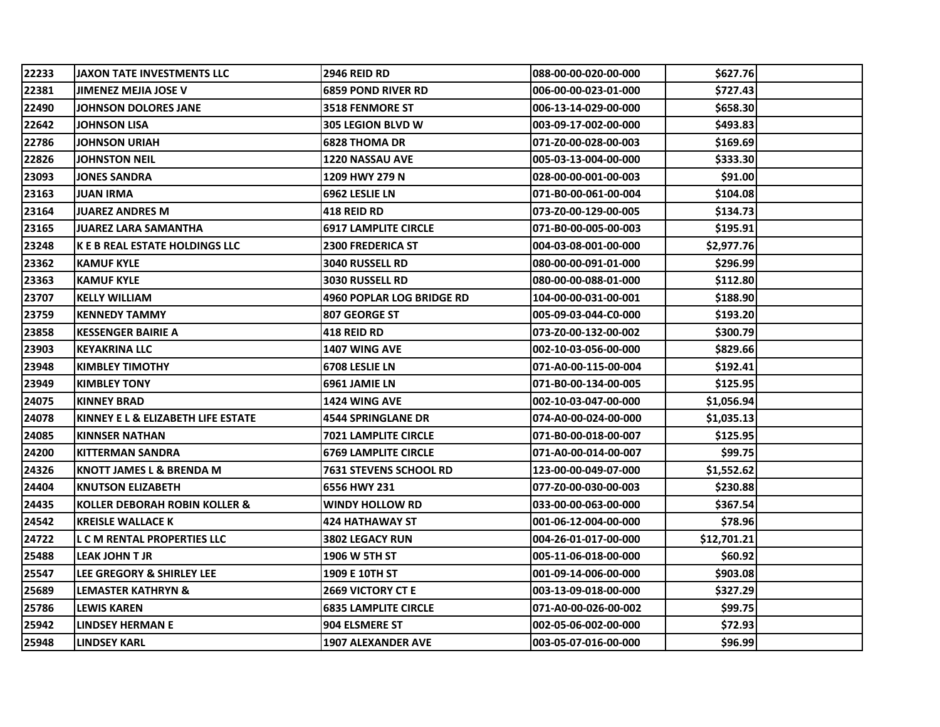| 22233 | JAXON TATE INVESTMENTS LLC            | <b>2946 REID RD</b>              | 088-00-00-020-00-000 | \$627.76    |  |
|-------|---------------------------------------|----------------------------------|----------------------|-------------|--|
| 22381 | JIMENEZ MEJIA JOSE V                  | <b>6859 POND RIVER RD</b>        | 006-00-00-023-01-000 | \$727.43    |  |
| 22490 | JOHNSON DOLORES JANE                  | <b>3518 FENMORE ST</b>           | 006-13-14-029-00-000 | \$658.30    |  |
| 22642 | <b>JOHNSON LISA</b>                   | <b>305 LEGION BLVD W</b>         | 003-09-17-002-00-000 | \$493.83    |  |
| 22786 | JOHNSON URIAH                         | <b>6828 THOMA DR</b>             | 071-Z0-00-028-00-003 | \$169.69    |  |
| 22826 | <b>JOHNSTON NEIL</b>                  | <b>1220 NASSAU AVE</b>           | 005-03-13-004-00-000 | \$333.30    |  |
| 23093 | <b>JONES SANDRA</b>                   | 1209 HWY 279 N                   | 028-00-00-001-00-003 | \$91.00     |  |
| 23163 | <b>JUAN IRMA</b>                      | 6962 LESLIE LN                   | 071-B0-00-061-00-004 | \$104.08    |  |
| 23164 | <b>JUAREZ ANDRES M</b>                | <b>418 REID RD</b>               | 073-Z0-00-129-00-005 | \$134.73    |  |
| 23165 | <b>JUAREZ LARA SAMANTHA</b>           | <b>6917 LAMPLITE CIRCLE</b>      | 071-B0-00-005-00-003 | \$195.91    |  |
| 23248 | <b>K E B REAL ESTATE HOLDINGS LLC</b> | <b>2300 FREDERICA ST</b>         | 004-03-08-001-00-000 | \$2,977.76  |  |
| 23362 | <b>KAMUF KYLE</b>                     | <b>3040 RUSSELL RD</b>           | 080-00-00-091-01-000 | \$296.99    |  |
| 23363 | <b>KAMUF KYLE</b>                     | <b>3030 RUSSELL RD</b>           | 080-00-00-088-01-000 | \$112.80    |  |
| 23707 | <b>KELLY WILLIAM</b>                  | <b>4960 POPLAR LOG BRIDGE RD</b> | 104-00-00-031-00-001 | \$188.90    |  |
| 23759 | <b>KENNEDY TAMMY</b>                  | 807 GEORGE ST                    | 005-09-03-044-C0-000 | \$193.20    |  |
| 23858 | <b>KESSENGER BAIRIE A</b>             | 418 REID RD                      | 073-Z0-00-132-00-002 | S300.791    |  |
| 23903 | <b>KEYAKRINA LLC</b>                  | <b>1407 WING AVE</b>             | 002-10-03-056-00-000 | \$829.66    |  |
| 23948 | <b>KIMBLEY TIMOTHY</b>                | 6708 LESLIE LN                   | 071-A0-00-115-00-004 | \$192.41    |  |
| 23949 | <b>KIMBLEY TONY</b>                   | 6961 JAMIE LN                    | 071-B0-00-134-00-005 | \$125.95    |  |
| 24075 | <b>KINNEY BRAD</b>                    | <b>1424 WING AVE</b>             | 002-10-03-047-00-000 | \$1,056.94  |  |
| 24078 | KINNEY E L & ELIZABETH LIFE ESTATE    | <b>4544 SPRINGLANE DR</b>        | 074-A0-00-024-00-000 | \$1,035.13  |  |
| 24085 | KINNSER NATHAN                        | 7021 LAMPLITE CIRCLE             | 071-B0-00-018-00-007 | \$125.95    |  |
| 24200 | <b>KITTERMAN SANDRA</b>               | <b>6769 LAMPLITE CIRCLE</b>      | 071-A0-00-014-00-007 | \$99.75     |  |
| 24326 | KNOTT JAMES L & BRENDA M              | 7631 STEVENS SCHOOL RD           | 123-00-00-049-07-000 | \$1,552.62  |  |
| 24404 | <b>KNUTSON ELIZABETH</b>              | 6556 HWY 231                     | 077-Z0-00-030-00-003 | \$230.88    |  |
| 24435 | KOLLER DEBORAH ROBIN KOLLER &         | <b>WINDY HOLLOW RD</b>           | 033-00-00-063-00-000 | \$367.54    |  |
| 24542 | <b>KREISLE WALLACE K</b>              | <b>424 HATHAWAY ST</b>           | 001-06-12-004-00-000 | \$78.96     |  |
| 24722 | <b>L C M RENTAL PROPERTIES LLC</b>    | <b>3802 LEGACY RUN</b>           | 004-26-01-017-00-000 | \$12,701.21 |  |
| 25488 | <b>LEAK JOHN T JR</b>                 | 1906 W 5TH ST                    | 005-11-06-018-00-000 | \$60.92     |  |
| 25547 | <b>LEE GREGORY &amp; SHIRLEY LEE</b>  | <b>1909 E 10TH ST</b>            | 001-09-14-006-00-000 | \$903.08    |  |
| 25689 | <b>LEMASTER KATHRYN &amp;</b>         | <b>2669 VICTORY CT E</b>         | 003-13-09-018-00-000 | \$327.29    |  |
| 25786 | <b>LEWIS KAREN</b>                    | <b>6835 LAMPLITE CIRCLE</b>      | 071-A0-00-026-00-002 | \$99.75     |  |
| 25942 | <b>LINDSEY HERMAN E</b>               | 904 ELSMERE ST                   | 002-05-06-002-00-000 | \$72.93     |  |
| 25948 | <b>LINDSEY KARL</b>                   | <b>1907 ALEXANDER AVE</b>        | 003-05-07-016-00-000 | \$96.99     |  |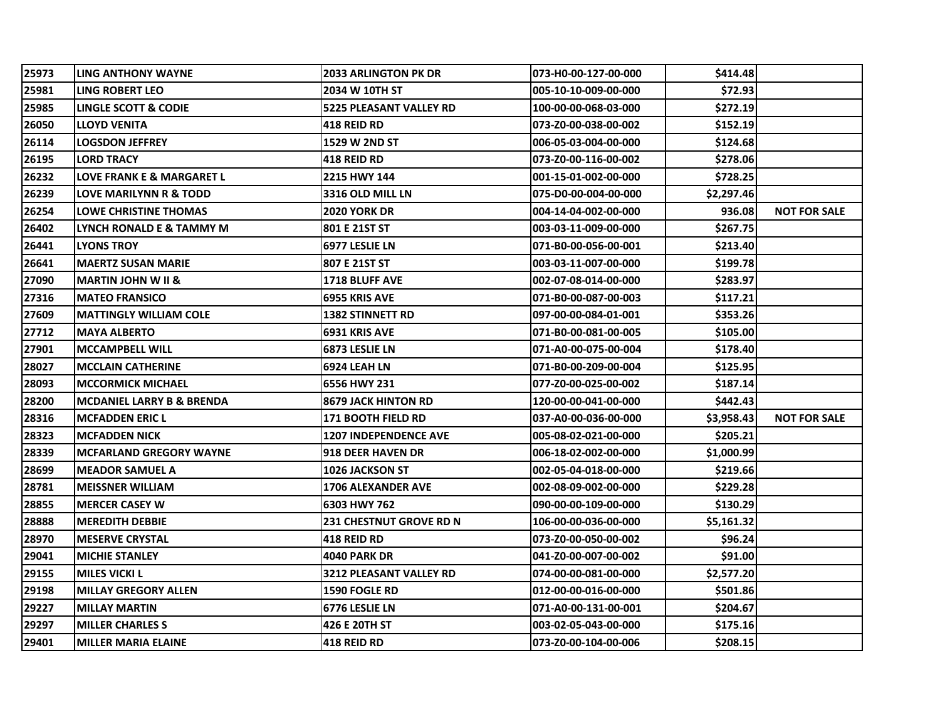| 25973 | LING ANTHONY WAYNE                   | <b>2033 ARLINGTON PK DR</b>    | 073-H0-00-127-00-000 | \$414.48   |                     |
|-------|--------------------------------------|--------------------------------|----------------------|------------|---------------------|
| 25981 | LING ROBERT LEO                      | 2034 W 10TH ST                 | 005-10-10-009-00-000 | \$72.93    |                     |
| 25985 | LINGLE SCOTT & CODIE                 | <b>5225 PLEASANT VALLEY RD</b> | 100-00-00-068-03-000 | \$272.19   |                     |
| 26050 | LLOYD VENITA                         | <b>418 REID RD</b>             | 073-Z0-00-038-00-002 | \$152.19   |                     |
| 26114 | <b>LOGSDON JEFFREY</b>               | <b>1529 W 2ND ST</b>           | 006-05-03-004-00-000 | \$124.68   |                     |
| 26195 | LORD TRACY                           | 418 REID RD                    | 073-Z0-00-116-00-002 | \$278.06   |                     |
| 26232 | LOVE FRANK E & MARGARET L            | 2215 HWY 144                   | 001-15-01-002-00-000 | \$728.25   |                     |
| 26239 | LOVE MARILYNN R & TODD               | 3316 OLD MILL LN               | 075-D0-00-004-00-000 | \$2,297.46 |                     |
| 26254 | LOWE CHRISTINE THOMAS                | <b>2020 YORK DR</b>            | 004-14-04-002-00-000 | 936.08     | <b>NOT FOR SALE</b> |
| 26402 | LYNCH RONALD E & TAMMY M             | 801 E 21ST ST                  | 003-03-11-009-00-000 | \$267.75   |                     |
| 26441 | LYONS TROY                           | 6977 LESLIE LN                 | 071-B0-00-056-00-001 | \$213.40   |                     |
| 26641 | <b>MAERTZ SUSAN MARIE</b>            | 807 E 21ST ST                  | 003-03-11-007-00-000 | \$199.78   |                     |
| 27090 | <b>MARTIN JOHN W II &amp;</b>        | <b>1718 BLUFF AVE</b>          | 002-07-08-014-00-000 | \$283.97   |                     |
| 27316 | <b>MATEO FRANSICO</b>                | 6955 KRIS AVE                  | 071-B0-00-087-00-003 | \$117.21   |                     |
| 27609 | <b>MATTINGLY WILLIAM COLE</b>        | <b>1382 STINNETT RD</b>        | 097-00-00-084-01-001 | \$353.26   |                     |
| 27712 | <b>MAYA ALBERTO</b>                  | 6931 KRIS AVE                  | 071-B0-00-081-00-005 | \$105.00   |                     |
| 27901 | <b>MCCAMPBELL WILL</b>               | 6873 LESLIE LN                 | 071-A0-00-075-00-004 | \$178.40   |                     |
| 28027 | <b>MCCLAIN CATHERINE</b>             | 6924 LEAH LN                   | 071-B0-00-209-00-004 | \$125.95   |                     |
| 28093 | <b>MCCORMICK MICHAEL</b>             | 6556 HWY 231                   | 077-Z0-00-025-00-002 | \$187.14   |                     |
| 28200 | <b>MCDANIEL LARRY B &amp; BRENDA</b> | <b>8679 JACK HINTON RD</b>     | 120-00-00-041-00-000 | \$442.43   |                     |
| 28316 | <b>MCFADDEN ERIC L</b>               | <b>171 BOOTH FIELD RD</b>      | 037-A0-00-036-00-000 | \$3,958.43 | <b>NOT FOR SALE</b> |
| 28323 | <b>MCFADDEN NICK</b>                 | <b>1207 INDEPENDENCE AVE</b>   | 005-08-02-021-00-000 | \$205.21   |                     |
| 28339 | <b>MCFARLAND GREGORY WAYNE</b>       | 918 DEER HAVEN DR              | 006-18-02-002-00-000 | \$1,000.99 |                     |
| 28699 | <b>MEADOR SAMUEL A</b>               | 1026 JACKSON ST                | 002-05-04-018-00-000 | \$219.66   |                     |
| 28781 | <b>MEISSNER WILLIAM</b>              | <b>1706 ALEXANDER AVE</b>      | 002-08-09-002-00-000 | \$229.28   |                     |
| 28855 | <b>MERCER CASEY W</b>                | 6303 HWY 762                   | 090-00-00-109-00-000 | \$130.29   |                     |
| 28888 | <b>MEREDITH DEBBIE</b>               | <b>231 CHESTNUT GROVE RD N</b> | 106-00-00-036-00-000 | \$5,161.32 |                     |
| 28970 | <b>MESERVE CRYSTAL</b>               | <b>418 REID RD</b>             | 073-Z0-00-050-00-002 | \$96.24    |                     |
| 29041 | <b>MICHIE STANLEY</b>                | <b>4040 PARK DR</b>            | 041-Z0-00-007-00-002 | \$91.00    |                     |
| 29155 | <b>MILES VICKI L</b>                 | <b>3212 PLEASANT VALLEY RD</b> | 074-00-00-081-00-000 | \$2,577.20 |                     |
| 29198 | <b>MILLAY GREGORY ALLEN</b>          | <b>1590 FOGLE RD</b>           | 012-00-00-016-00-000 | \$501.86   |                     |
| 29227 | <b>MILLAY MARTIN</b>                 | 6776 LESLIE LN                 | 071-A0-00-131-00-001 | \$204.67   |                     |
| 29297 | <b>MILLER CHARLES S</b>              | 426 E 20TH ST                  | 003-02-05-043-00-000 | \$175.16   |                     |
| 29401 | <b>MILLER MARIA ELAINE</b>           | <b>418 REID RD</b>             | 073-Z0-00-104-00-006 | \$208.15   |                     |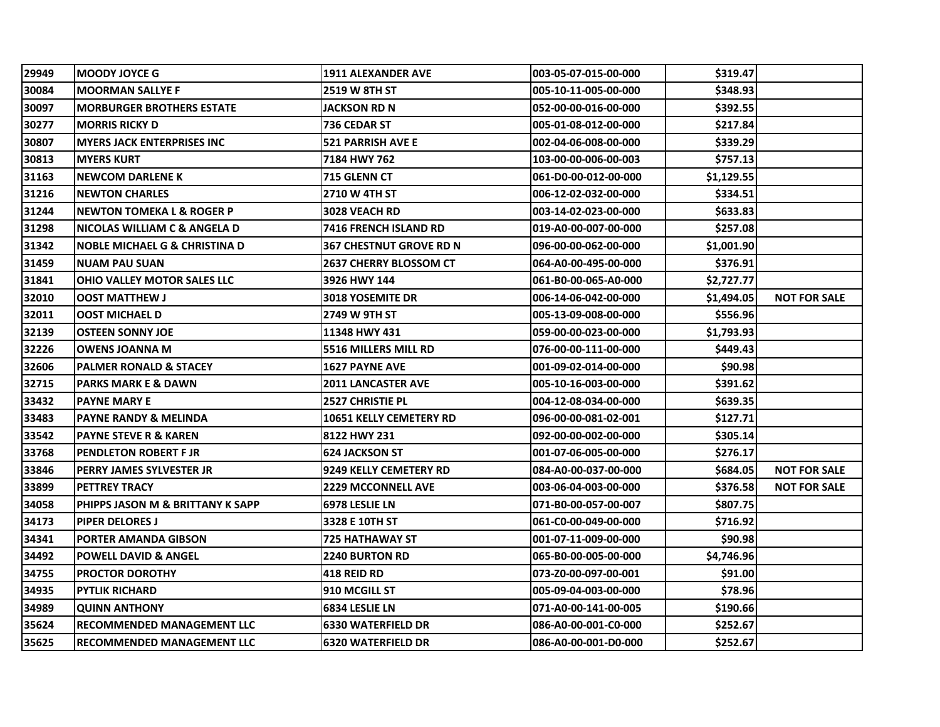| 29949 | <b>MOODY JOYCE G</b>                     | <b>1911 ALEXANDER AVE</b>    | 003-05-07-015-00-000 | \$319.47   |                     |
|-------|------------------------------------------|------------------------------|----------------------|------------|---------------------|
| 30084 | <b>MOORMAN SALLYE F</b>                  | 2519 W 8TH ST                | 005-10-11-005-00-000 | \$348.93   |                     |
| 30097 | <b>MORBURGER BROTHERS ESTATE</b>         | JACKSON RD N                 | 052-00-00-016-00-000 | \$392.55   |                     |
| 30277 | <b>MORRIS RICKY D</b>                    | 736 CEDAR ST                 | 005-01-08-012-00-000 | \$217.84   |                     |
| 30807 | <b>MYERS JACK ENTERPRISES INC</b>        | <b>521 PARRISH AVE E</b>     | 002-04-06-008-00-000 | \$339.29   |                     |
| 30813 | <b>MYERS KURT</b>                        | 7184 HWY 762                 | 103-00-00-006-00-003 | \$757.13   |                     |
| 31163 | <b>NEWCOM DARLENE K</b>                  | 715 GLENN CT                 | 061-D0-00-012-00-000 | \$1,129.55 |                     |
| 31216 | <b>NEWTON CHARLES</b>                    | <b>2710 W 4TH ST</b>         | 006-12-02-032-00-000 | \$334.51   |                     |
| 31244 | <b>NEWTON TOMEKA L &amp; ROGER P</b>     | 3028 VEACH RD                | 003-14-02-023-00-000 | \$633.83   |                     |
| 31298 | NICOLAS WILLIAM C & ANGELA D             | <b>7416 FRENCH ISLAND RD</b> | 019-A0-00-007-00-000 | \$257.08   |                     |
| 31342 | <b>NOBLE MICHAEL G &amp; CHRISTINA D</b> | 367 CHESTNUT GROVE RD N      | 096-00-00-062-00-000 | \$1,001.90 |                     |
| 31459 | <b>NUAM PAU SUAN</b>                     | 2637 CHERRY BLOSSOM CT       | 064-A0-00-495-00-000 | \$376.91   |                     |
| 31841 | OHIO VALLEY MOTOR SALES LLC              | 3926 HWY 144                 | 061-B0-00-065-A0-000 | \$2,727.77 |                     |
| 32010 | <b>OOST MATTHEW J</b>                    | <b>3018 YOSEMITE DR</b>      | 006-14-06-042-00-000 | \$1,494.05 | <b>NOT FOR SALE</b> |
| 32011 | OOST MICHAEL D                           | 2749 W 9TH ST                | 005-13-09-008-00-000 | \$556.96   |                     |
| 32139 | OSTEEN SONNY JOE                         | 11348 HWY 431                | 059-00-00-023-00-000 | \$1,793.93 |                     |
| 32226 | OWENS JOANNA M                           | 5516 MILLERS MILL RD         | 076-00-00-111-00-000 | \$449.43   |                     |
| 32606 | <b>PALMER RONALD &amp; STACEY</b>        | <b>1627 PAYNE AVE</b>        | 001-09-02-014-00-000 | \$90.98    |                     |
| 32715 | <b>PARKS MARK E &amp; DAWN</b>           | <b>2011 LANCASTER AVE</b>    | 005-10-16-003-00-000 | \$391.62   |                     |
| 33432 | <b>PAYNE MARY E</b>                      | <b>2527 CHRISTIE PL</b>      | 004-12-08-034-00-000 | \$639.35   |                     |
| 33483 | PAYNE RANDY & MELINDA                    | 10651 KELLY CEMETERY RD      | 096-00-00-081-02-001 | \$127.71   |                     |
| 33542 | <b>PAYNE STEVE R &amp; KAREN</b>         | 8122 HWY 231                 | 092-00-00-002-00-000 | \$305.14   |                     |
| 33768 | PENDLETON ROBERT F JR                    | <b>624 JACKSON ST</b>        | 001-07-06-005-00-000 | \$276.17   |                     |
| 33846 | PERRY JAMES SYLVESTER JR                 | 9249 KELLY CEMETERY RD       | 084-A0-00-037-00-000 | \$684.05   | <b>NOT FOR SALE</b> |
| 33899 | <b>PETTREY TRACY</b>                     | <b>2229 MCCONNELL AVE</b>    | 003-06-04-003-00-000 | \$376.58   | <b>NOT FOR SALE</b> |
| 34058 | PHIPPS JASON M & BRITTANY K SAPP         | 6978 LESLIE LN               | 071-B0-00-057-00-007 | \$807.75   |                     |
| 34173 | <b>PIPER DELORES J</b>                   | 3328 E 10TH ST               | 061-C0-00-049-00-000 | \$716.92   |                     |
| 34341 | PORTER AMANDA GIBSON                     | 725 HATHAWAY ST              | 001-07-11-009-00-000 | \$90.98    |                     |
| 34492 | <b>POWELL DAVID &amp; ANGEL</b>          | <b>2240 BURTON RD</b>        | 065-B0-00-005-00-000 | \$4,746.96 |                     |
| 34755 | <b>PROCTOR DOROTHY</b>                   | 418 REID RD                  | 073-Z0-00-097-00-001 | \$91.00    |                     |
| 34935 | PYTLIK RICHARD                           | 910 MCGILL ST                | 005-09-04-003-00-000 | \$78.96    |                     |
| 34989 | <b>QUINN ANTHONY</b>                     | 6834 LESLIE LN               | 071-A0-00-141-00-005 | \$190.66   |                     |
| 35624 | <b>RECOMMENDED MANAGEMENT LLC</b>        | <b>6330 WATERFIELD DR</b>    | 086-A0-00-001-C0-000 | \$252.67   |                     |
| 35625 | <b>RECOMMENDED MANAGEMENT LLC</b>        | <b>6320 WATERFIELD DR</b>    | 086-A0-00-001-D0-000 | \$252.67   |                     |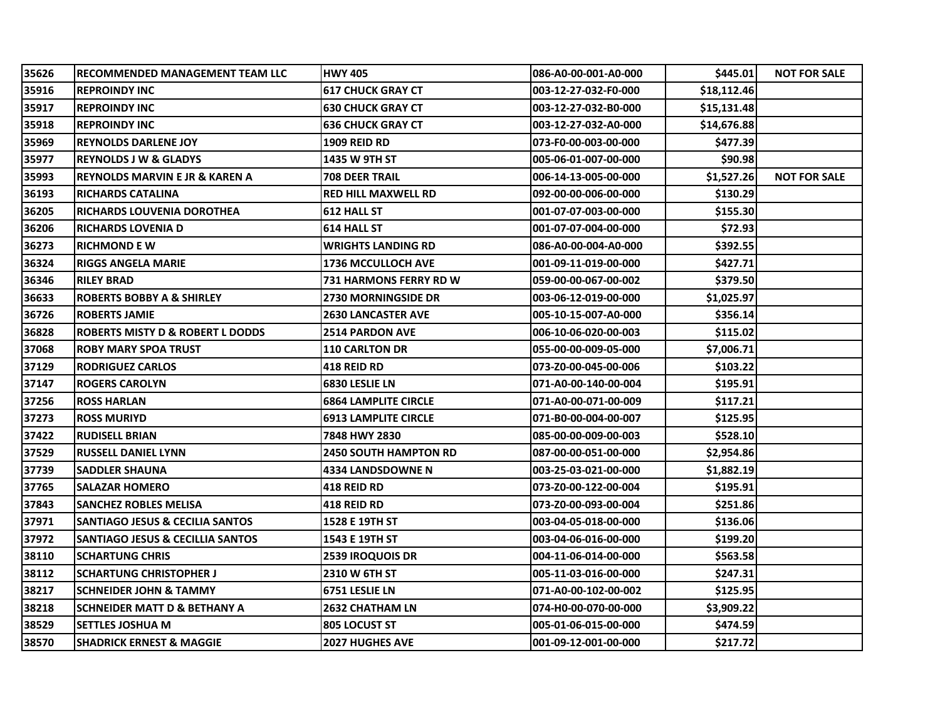| 35626 | RECOMMENDED MANAGEMENT TEAM LLC             | <b>HWY 405</b>               | 086-A0-00-001-A0-000 | \$445.01    | <b>NOT FOR SALE</b> |
|-------|---------------------------------------------|------------------------------|----------------------|-------------|---------------------|
| 35916 | <b>IREPROINDY INC</b>                       | <b>617 CHUCK GRAY CT</b>     | 003-12-27-032-F0-000 | \$18,112.46 |                     |
| 35917 | <b>REPROINDY INC</b>                        | <b>630 CHUCK GRAY CT</b>     | 003-12-27-032-B0-000 | \$15,131.48 |                     |
| 35918 | <b>IREPROINDY INC</b>                       | <b>636 CHUCK GRAY CT</b>     | 003-12-27-032-A0-000 | \$14,676.88 |                     |
| 35969 | <b>REYNOLDS DARLENE JOY</b>                 | <b>1909 REID RD</b>          | 073-F0-00-003-00-000 | \$477.39    |                     |
| 35977 | <b>REYNOLDS J W &amp; GLADYS</b>            | 1435 W 9TH ST                | 005-06-01-007-00-000 | \$90.98     |                     |
| 35993 | <b>REYNOLDS MARVIN E JR &amp; KAREN A</b>   | <b>708 DEER TRAIL</b>        | 006-14-13-005-00-000 | \$1,527.26  | <b>NOT FOR SALE</b> |
| 36193 | <b>RICHARDS CATALINA</b>                    | <b>RED HILL MAXWELL RD</b>   | 092-00-00-006-00-000 | \$130.29    |                     |
| 36205 | <b>IRICHARDS LOUVENIA DOROTHEA</b>          | 612 HALL ST                  | 001-07-07-003-00-000 | \$155.30    |                     |
| 36206 | <b>RICHARDS LOVENIA D</b>                   | <b>614 HALL ST</b>           | 001-07-07-004-00-000 | \$72.93     |                     |
| 36273 | IRICHMOND E W                               | <b>WRIGHTS LANDING RD</b>    | 086-A0-00-004-A0-000 | \$392.55    |                     |
| 36324 | IRIGGS ANGELA MARIE                         | <b>1736 MCCULLOCH AVE</b>    | 001-09-11-019-00-000 | \$427.71    |                     |
| 36346 | <b>RILEY BRAD</b>                           | 731 HARMONS FERRY RD W       | 059-00-00-067-00-002 | \$379.50    |                     |
| 36633 | <b>ROBERTS BOBBY A &amp; SHIRLEY</b>        | <b>2730 MORNINGSIDE DR</b>   | 003-06-12-019-00-000 | \$1,025.97  |                     |
| 36726 | <b>ROBERTS JAMIE</b>                        | <b>2630 LANCASTER AVE</b>    | 005-10-15-007-A0-000 | \$356.14    |                     |
| 36828 | <b>ROBERTS MISTY D &amp; ROBERT L DODDS</b> | <b>2514 PARDON AVE</b>       | 006-10-06-020-00-003 | \$115.02    |                     |
| 37068 | <b>ROBY MARY SPOA TRUST</b>                 | <b>110 CARLTON DR</b>        | 055-00-00-009-05-000 | \$7,006.71  |                     |
| 37129 | <b>RODRIGUEZ CARLOS</b>                     | <b>418 REID RD</b>           | 073-Z0-00-045-00-006 | \$103.22    |                     |
| 37147 | <b>IROGERS CAROLYN</b>                      | <b>6830 LESLIE LN</b>        | 071-A0-00-140-00-004 | \$195.91    |                     |
| 37256 | <b>ROSS HARLAN</b>                          | <b>6864 LAMPLITE CIRCLE</b>  | 071-A0-00-071-00-009 | \$117.21    |                     |
| 37273 | <b>ROSS MURIYD</b>                          | <b>6913 LAMPLITE CIRCLE</b>  | 071-B0-00-004-00-007 | \$125.95    |                     |
| 37422 | <b>RUDISELL BRIAN</b>                       | 7848 HWY 2830                | 085-00-00-009-00-003 | \$528.10    |                     |
| 37529 | <b>RUSSELL DANIEL LYNN</b>                  | <b>2450 SOUTH HAMPTON RD</b> | 087-00-00-051-00-000 | \$2,954.86  |                     |
| 37739 | <b>SADDLER SHAUNA</b>                       | <b>4334 LANDSDOWNE N</b>     | 003-25-03-021-00-000 | \$1,882.19  |                     |
| 37765 | ISALAZAR HOMERO                             | <b>418 REID RD</b>           | 073-Z0-00-122-00-004 | \$195.91    |                     |
| 37843 | <b>SANCHEZ ROBLES MELISA</b>                | 418 REID RD                  | 073-Z0-00-093-00-004 | \$251.86    |                     |
| 37971 | <b>SANTIAGO JESUS &amp; CECILIA SANTOS</b>  | 1528 E 19TH ST               | 003-04-05-018-00-000 | \$136.06    |                     |
| 37972 | <b>SANTIAGO JESUS &amp; CECILLIA SANTOS</b> | 1543 E 19TH ST               | 003-04-06-016-00-000 | \$199.20    |                     |
| 38110 | <b>SCHARTUNG CHRIS</b>                      | <b>2539 IROQUOIS DR</b>      | 004-11-06-014-00-000 | \$563.58    |                     |
| 38112 | SCHARTUNG CHRISTOPHER J                     | <b>2310 W 6TH ST</b>         | 005-11-03-016-00-000 | \$247.31    |                     |
| 38217 | <b>SCHNEIDER JOHN &amp; TAMMY</b>           | 6751 LESLIE LN               | 071-A0-00-102-00-002 | \$125.95    |                     |
| 38218 | SCHNEIDER MATT D & BETHANY A                | <b>2632 CHATHAM LN</b>       | 074-H0-00-070-00-000 | \$3,909.22  |                     |
| 38529 | <b>SETTLES JOSHUA M</b>                     | <b>805 LOCUST ST</b>         | 005-01-06-015-00-000 | \$474.59    |                     |
| 38570 | <b>SHADRICK ERNEST &amp; MAGGIE</b>         | <b>2027 HUGHES AVE</b>       | 001-09-12-001-00-000 | \$217.72    |                     |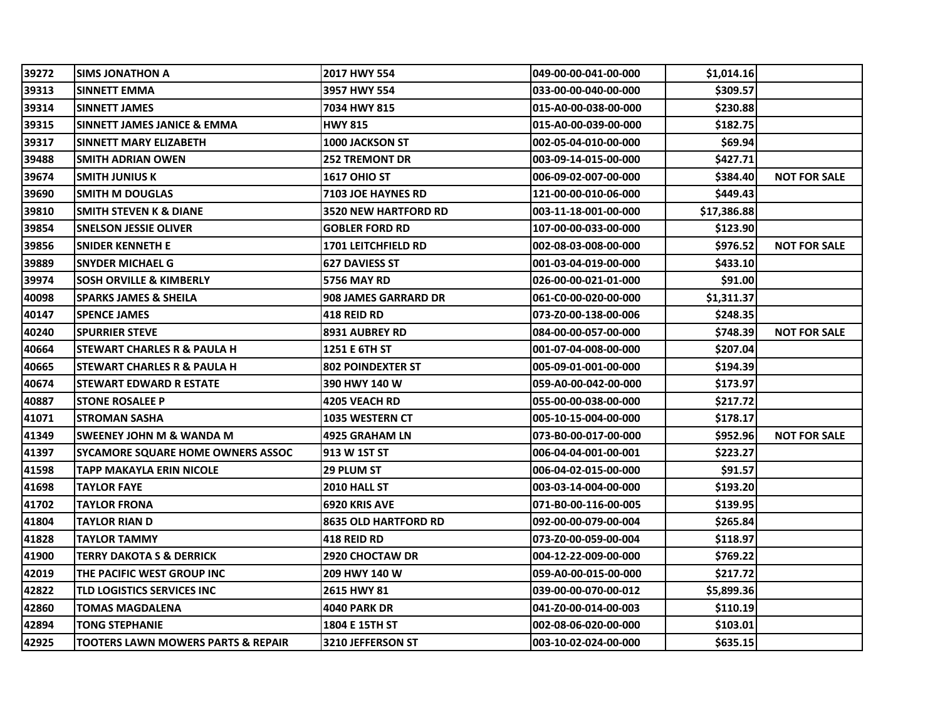| 39272 | <b>SIMS JONATHON A</b>                        | 2017 HWY 554                | 049-00-00-041-00-000 | \$1,014.16  |                     |
|-------|-----------------------------------------------|-----------------------------|----------------------|-------------|---------------------|
| 39313 | <b>SINNETT EMMA</b>                           | 3957 HWY 554                | 033-00-00-040-00-000 | \$309.57    |                     |
| 39314 | <b>ISINNETT JAMES</b>                         | 7034 HWY 815                | 015-A0-00-038-00-000 | \$230.88    |                     |
| 39315 | <b>SINNETT JAMES JANICE &amp; EMMA</b>        | <b>HWY 815</b>              | 015-A0-00-039-00-000 | \$182.75    |                     |
| 39317 | SINNETT MARY ELIZABETH                        | <b>1000 JACKSON ST</b>      | 002-05-04-010-00-000 | \$69.94     |                     |
| 39488 | <b>SMITH ADRIAN OWEN</b>                      | <b>252 TREMONT DR</b>       | 003-09-14-015-00-000 | \$427.71    |                     |
| 39674 | <b>SMITH JUNIUS K</b>                         | <b>1617 OHIO ST</b>         | 006-09-02-007-00-000 | \$384.40    | <b>NOT FOR SALE</b> |
| 39690 | <b>SMITH M DOUGLAS</b>                        | 7103 JOE HAYNES RD          | 121-00-00-010-06-000 | \$449.43    |                     |
| 39810 | ISMITH STEVEN K & DIANE                       | <b>3520 NEW HARTFORD RD</b> | 003-11-18-001-00-000 | \$17,386.88 |                     |
| 39854 | <b>SNELSON JESSIE OLIVER</b>                  | <b>GOBLER FORD RD</b>       | 107-00-00-033-00-000 | \$123.90    |                     |
| 39856 | <b>SNIDER KENNETH E</b>                       | <b>1701 LEITCHFIELD RD</b>  | 002-08-03-008-00-000 | \$976.52    | <b>NOT FOR SALE</b> |
| 39889 | <b>SNYDER MICHAEL G</b>                       | <b>627 DAVIESS ST</b>       | 001-03-04-019-00-000 | \$433.10    |                     |
| 39974 | <b>SOSH ORVILLE &amp; KIMBERLY</b>            | <b>5756 MAY RD</b>          | 026-00-00-021-01-000 | \$91.00     |                     |
| 40098 | <b>SPARKS JAMES &amp; SHEILA</b>              | <b>908 JAMES GARRARD DR</b> | 061-C0-00-020-00-000 | \$1,311.37  |                     |
| 40147 | <b>SPENCE JAMES</b>                           | <b>418 REID RD</b>          | 073-Z0-00-138-00-006 | \$248.35    |                     |
| 40240 | <b>SPURRIER STEVE</b>                         | <b>8931 AUBREY RD</b>       | 084-00-00-057-00-000 | \$748.39    | <b>NOT FOR SALE</b> |
| 40664 | ISTEWART CHARLES R & PAULA H                  | 1251 E 6TH ST               | 001-07-04-008-00-000 | \$207.04    |                     |
| 40665 | <b>STEWART CHARLES R &amp; PAULA H</b>        | <b>802 POINDEXTER ST</b>    | 005-09-01-001-00-000 | \$194.39    |                     |
| 40674 | ISTEWART EDWARD R ESTATE                      | 390 HWY 140 W               | 059-A0-00-042-00-000 | \$173.97    |                     |
| 40887 | <b>STONE ROSALEE P</b>                        | 4205 VEACH RD               | 055-00-00-038-00-000 | \$217.72    |                     |
| 41071 | <b>STROMAN SASHA</b>                          | <b>1035 WESTERN CT</b>      | 005-10-15-004-00-000 | \$178.17    |                     |
| 41349 | <b>SWEENEY JOHN M &amp; WANDA M</b>           | 4925 GRAHAM LN              | 073-B0-00-017-00-000 | \$952.96    | <b>NOT FOR SALE</b> |
| 41397 | <b>SYCAMORE SQUARE HOME OWNERS ASSOC</b>      | 913 W 1ST ST                | 006-04-04-001-00-001 | \$223.27    |                     |
| 41598 | <b>TAPP MAKAYLA ERIN NICOLE</b>               | 29 PLUM ST                  | 006-04-02-015-00-000 | \$91.57     |                     |
| 41698 | TAYLOR FAYE                                   | 2010 HALL ST                | 003-03-14-004-00-000 | \$193.20    |                     |
| 41702 | TAYLOR FRONA                                  | 6920 KRIS AVE               | 071-B0-00-116-00-005 | \$139.95    |                     |
| 41804 | TAYLOR RIAN D                                 | <b>8635 OLD HARTFORD RD</b> | 092-00-00-079-00-004 | \$265.84    |                     |
| 41828 | TAYLOR TAMMY                                  | <b>418 REID RD</b>          | 073-Z0-00-059-00-004 | \$118.97    |                     |
| 41900 | <b>TERRY DAKOTA S &amp; DERRICK</b>           | <b>2920 CHOCTAW DR</b>      | 004-12-22-009-00-000 | \$769.22    |                     |
| 42019 | THE PACIFIC WEST GROUP INC                    | 209 HWY 140 W               | 059-A0-00-015-00-000 | \$217.72    |                     |
| 42822 | TLD LOGISTICS SERVICES INC                    | 2615 HWY 81                 | 039-00-00-070-00-012 | \$5,899.36  |                     |
| 42860 | <b>TOMAS MAGDALENA</b>                        | <b>4040 PARK DR</b>         | 041-Z0-00-014-00-003 | \$110.19    |                     |
| 42894 | <b>TONG STEPHANIE</b>                         | 1804 E 15TH ST              | 002-08-06-020-00-000 | \$103.01    |                     |
| 42925 | <b>TOOTERS LAWN MOWERS PARTS &amp; REPAIR</b> | 3210 JEFFERSON ST           | 003-10-02-024-00-000 | \$635.15    |                     |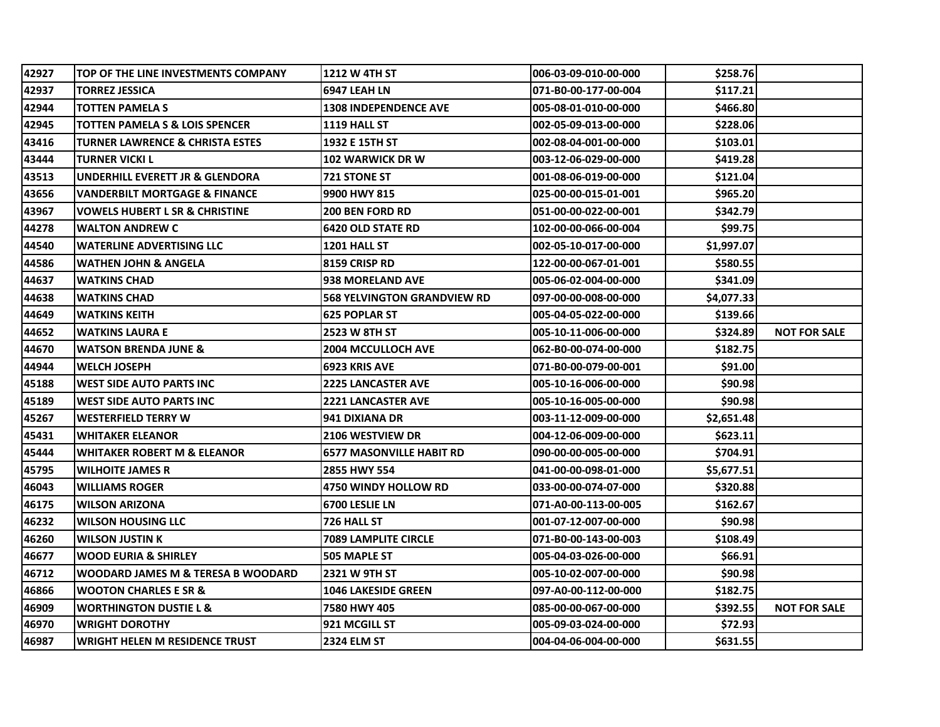| 42927 | TOP OF THE LINE INVESTMENTS COMPANY      | <b>1212 W 4TH ST</b>               | 006-03-09-010-00-000 | \$258.76   |                     |
|-------|------------------------------------------|------------------------------------|----------------------|------------|---------------------|
| 42937 |                                          |                                    |                      | \$117.21   |                     |
|       | TORREZ JESSICA                           | 6947 LEAH LN                       | 071-B0-00-177-00-004 |            |                     |
| 42944 | <b>TOTTEN PAMELA S</b>                   | <b>1308 INDEPENDENCE AVE</b>       | 005-08-01-010-00-000 | \$466.80   |                     |
| 42945 | TOTTEN PAMELA S & LOIS SPENCER           | <b>1119 HALL ST</b>                | 002-05-09-013-00-000 | \$228.06   |                     |
| 43416 | TURNER LAWRENCE & CHRISTA ESTES          | 1932 E 15TH ST                     | 002-08-04-001-00-000 | \$103.01   |                     |
| 43444 | TURNER VICKI L                           | <b>102 WARWICK DR W</b>            | 003-12-06-029-00-000 | \$419.28   |                     |
| 43513 | UNDERHILL EVERETT JR & GLENDORA          | <b>721 STONE ST</b>                | 001-08-06-019-00-000 | \$121.04   |                     |
| 43656 | <b>VANDERBILT MORTGAGE &amp; FINANCE</b> | 9900 HWY 815                       | 025-00-00-015-01-001 | \$965.20   |                     |
| 43967 | VOWELS HUBERT L SR & CHRISTINE           | <b>200 BEN FORD RD</b>             | 051-00-00-022-00-001 | \$342.79   |                     |
| 44278 | WALTON ANDREW C                          | <b>6420 OLD STATE RD</b>           | 102-00-00-066-00-004 | \$99.75    |                     |
| 44540 | WATERLINE ADVERTISING LLC                | <b>1201 HALL ST</b>                | 002-05-10-017-00-000 | \$1,997.07 |                     |
| 44586 | <b>WATHEN JOHN &amp; ANGELA</b>          | 8159 CRISP RD                      | 122-00-00-067-01-001 | \$580.55   |                     |
| 44637 | <b>WATKINS CHAD</b>                      | <b>938 MORELAND AVE</b>            | 005-06-02-004-00-000 | \$341.09   |                     |
| 44638 | <b>WATKINS CHAD</b>                      | <b>568 YELVINGTON GRANDVIEW RD</b> | 097-00-00-008-00-000 | \$4,077.33 |                     |
| 44649 | WATKINS KEITH                            | <b>625 POPLAR ST</b>               | 005-04-05-022-00-000 | \$139.66   |                     |
| 44652 | WATKINS LAURA E                          | 2523 W 8TH ST                      | 005-10-11-006-00-000 | \$324.89   | <b>NOT FOR SALE</b> |
| 44670 | <b>WATSON BRENDA JUNE &amp;</b>          | <b>2004 MCCULLOCH AVE</b>          | 062-B0-00-074-00-000 | \$182.75   |                     |
| 44944 | <b>WELCH JOSEPH</b>                      | 6923 KRIS AVE                      | 071-B0-00-079-00-001 | \$91.00    |                     |
| 45188 | WEST SIDE AUTO PARTS INC                 | <b>2225 LANCASTER AVE</b>          | 005-10-16-006-00-000 | \$90.98    |                     |
| 45189 | WEST SIDE AUTO PARTS INC                 | 2221 LANCASTER AVE                 | 005-10-16-005-00-000 | \$90.98    |                     |
| 45267 | <b>WESTERFIELD TERRY W</b>               | 941 DIXIANA DR                     | 003-11-12-009-00-000 | \$2,651.48 |                     |
| 45431 | <b>WHITAKER ELEANOR</b>                  | <b>2106 WESTVIEW DR</b>            | 004-12-06-009-00-000 | \$623.11   |                     |
| 45444 | <b>WHITAKER ROBERT M &amp; ELEANOR</b>   | <b>6577 MASONVILLE HABIT RD</b>    | 090-00-00-005-00-000 | \$704.91   |                     |
| 45795 | <b>WILHOITE JAMES R</b>                  | 2855 HWY 554                       | 041-00-00-098-01-000 | \$5,677.51 |                     |
| 46043 | WILLIAMS ROGER                           | <b>4750 WINDY HOLLOW RD</b>        | 033-00-00-074-07-000 | \$320.88   |                     |
| 46175 | WILSON ARIZONA                           | 6700 LESLIE LN                     | 071-A0-00-113-00-005 | \$162.67   |                     |
| 46232 | WILSON HOUSING LLC                       | 726 HALL ST                        | 001-07-12-007-00-000 | \$90.98    |                     |
| 46260 | <b>WILSON JUSTIN K</b>                   | <b>7089 LAMPLITE CIRCLE</b>        | 071-B0-00-143-00-003 | \$108.49   |                     |
| 46677 | WOOD EURIA & SHIRLEY                     | <b>505 MAPLE ST</b>                | 005-04-03-026-00-000 | \$66.91    |                     |
| 46712 | WOODARD JAMES M & TERESA B WOODARD       | 2321 W 9TH ST                      | 005-10-02-007-00-000 | \$90.98    |                     |
| 46866 | <b>WOOTON CHARLES E SR &amp;</b>         | <b>1046 LAKESIDE GREEN</b>         | 097-A0-00-112-00-000 | \$182.75   |                     |
| 46909 | <b>WORTHINGTON DUSTIE L &amp;</b>        | 7580 HWY 405                       | 085-00-00-067-00-000 | \$392.55   | <b>NOT FOR SALE</b> |
| 46970 | <b>WRIGHT DOROTHY</b>                    | 921 MCGILL ST                      | 005-09-03-024-00-000 | \$72.93    |                     |
| 46987 | WRIGHT HELEN M RESIDENCE TRUST           | <b>2324 ELM ST</b>                 | 004-04-06-004-00-000 | \$631.55   |                     |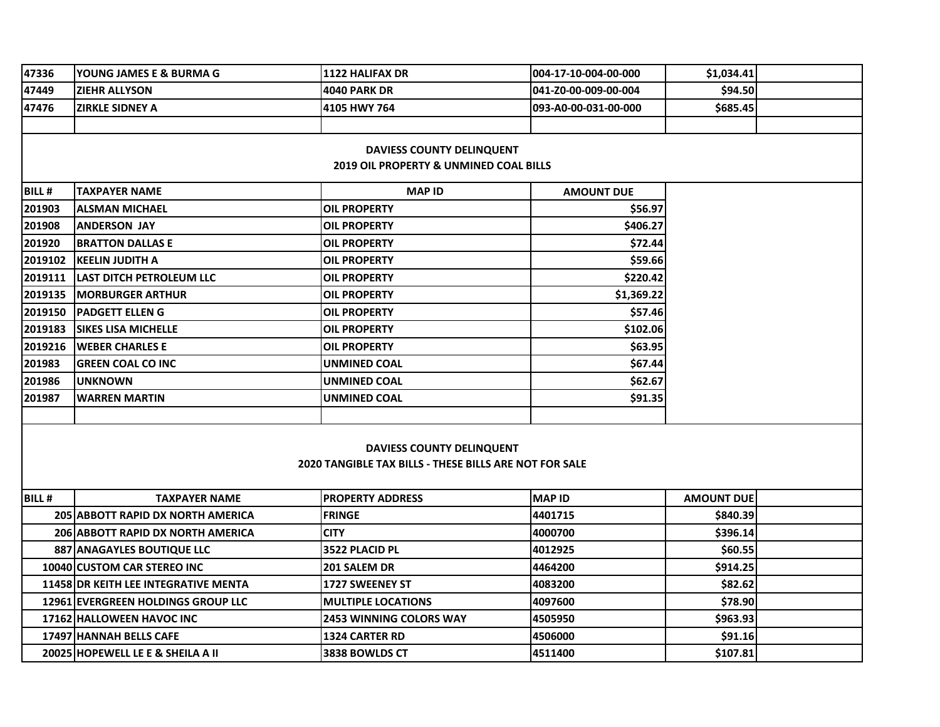| 47336                                             | YOUNG JAMES E & BURMA G                   | <b>1122 HALIFAX DR</b>                                        | 004-17-10-004-00-000 | \$1,034.41        |  |  |  |  |  |
|---------------------------------------------------|-------------------------------------------|---------------------------------------------------------------|----------------------|-------------------|--|--|--|--|--|
| 47449                                             | <b>ZIEHR ALLYSON</b>                      | <b>4040 PARK DR</b>                                           | 041-Z0-00-009-00-004 | \$94.50           |  |  |  |  |  |
| 47476                                             | ZIRKLE SIDNEY A                           | 4105 HWY 764                                                  | 093-A0-00-031-00-000 | \$685.45          |  |  |  |  |  |
|                                                   |                                           |                                                               |                      |                   |  |  |  |  |  |
| <b>DAVIESS COUNTY DELINQUENT</b>                  |                                           |                                                               |                      |                   |  |  |  |  |  |
| <b>2019 OIL PROPERTY &amp; UNMINED COAL BILLS</b> |                                           |                                                               |                      |                   |  |  |  |  |  |
| <b>BILL#</b>                                      | <b>TAXPAYER NAME</b>                      | <b>MAP ID</b>                                                 | <b>AMOUNT DUE</b>    |                   |  |  |  |  |  |
| 201903                                            | <b>ALSMAN MICHAEL</b>                     | <b>OIL PROPERTY</b>                                           | \$56.97              |                   |  |  |  |  |  |
| 201908                                            | <b>ANDERSON JAY</b>                       | <b>OIL PROPERTY</b>                                           | \$406.27             |                   |  |  |  |  |  |
| 201920                                            | <b>BRATTON DALLAS E</b>                   | <b>OIL PROPERTY</b>                                           | \$72.44              |                   |  |  |  |  |  |
| 2019102                                           | <b>KEELIN JUDITH A</b>                    | <b>OIL PROPERTY</b>                                           | \$59.66              |                   |  |  |  |  |  |
| 2019111                                           | <b>LAST DITCH PETROLEUM LLC</b>           | <b>OIL PROPERTY</b>                                           | \$220.42             |                   |  |  |  |  |  |
| 2019135                                           | <b>MORBURGER ARTHUR</b>                   | <b>OIL PROPERTY</b>                                           | \$1,369.22           |                   |  |  |  |  |  |
| 2019150                                           | <b>PADGETT ELLEN G</b>                    | <b>OIL PROPERTY</b>                                           | \$57.46              |                   |  |  |  |  |  |
| 2019183                                           | <b>SIKES LISA MICHELLE</b>                | OIL PROPERTY                                                  | \$102.06             |                   |  |  |  |  |  |
| 2019216                                           | <b>WEBER CHARLES E</b>                    | OIL PROPERTY                                                  | \$63.95              |                   |  |  |  |  |  |
| 201983                                            | <b>GREEN COAL CO INC</b>                  | <b>UNMINED COAL</b>                                           | \$67.44              |                   |  |  |  |  |  |
| 201986                                            | <b>UNKNOWN</b>                            | <b>UNMINED COAL</b>                                           | \$62.67              |                   |  |  |  |  |  |
| 201987                                            | WARREN MARTIN                             | <b>UNMINED COAL</b>                                           | \$91.35              |                   |  |  |  |  |  |
|                                                   |                                           |                                                               |                      |                   |  |  |  |  |  |
|                                                   |                                           |                                                               |                      |                   |  |  |  |  |  |
|                                                   |                                           | <b>DAVIESS COUNTY DELINQUENT</b>                              |                      |                   |  |  |  |  |  |
|                                                   |                                           | <b>2020 TANGIBLE TAX BILLS - THESE BILLS ARE NOT FOR SALE</b> |                      |                   |  |  |  |  |  |
| <b>BILL#</b>                                      | <b>TAXPAYER NAME</b>                      | <b>PROPERTY ADDRESS</b>                                       | <b>MAP ID</b>        | <b>AMOUNT DUE</b> |  |  |  |  |  |
|                                                   | <b>205 ABBOTT RAPID DX NORTH AMERICA</b>  | <b>FRINGE</b>                                                 | 4401715              | \$840.39          |  |  |  |  |  |
|                                                   | <b>206 ABBOTT RAPID DX NORTH AMERICA</b>  | <b>CITY</b>                                                   | 4000700              | \$396.14          |  |  |  |  |  |
|                                                   | 887 ANAGAYLES BOUTIQUE LLC                | 3522 PLACID PL                                                | 4012925              | \$60.55           |  |  |  |  |  |
|                                                   | <b>10040 CUSTOM CAR STEREO INC</b>        | 201 SALEM DR                                                  | 4464200              | \$914.25          |  |  |  |  |  |
|                                                   | 11458 DR KEITH LEE INTEGRATIVE MENTA      | 1727 SWEENEY ST                                               | 4083200              | \$82.62           |  |  |  |  |  |
|                                                   | <b>12961 EVERGREEN HOLDINGS GROUP LLC</b> | <b>MULTIPLE LOCATIONS</b>                                     | 4097600              | \$78.90           |  |  |  |  |  |
|                                                   | 17162 HALLOWEEN HAVOC INC                 | <b>2453 WINNING COLORS WAY</b>                                | 4505950              | \$963.93          |  |  |  |  |  |
|                                                   | 17497 HANNAH BELLS CAFE                   | <b>1324 CARTER RD</b>                                         | 4506000              | \$91.16           |  |  |  |  |  |
|                                                   | 20025 HOPEWELL LE E & SHEILA A II         | 3838 BOWLDS CT                                                | 4511400              | \$107.81          |  |  |  |  |  |